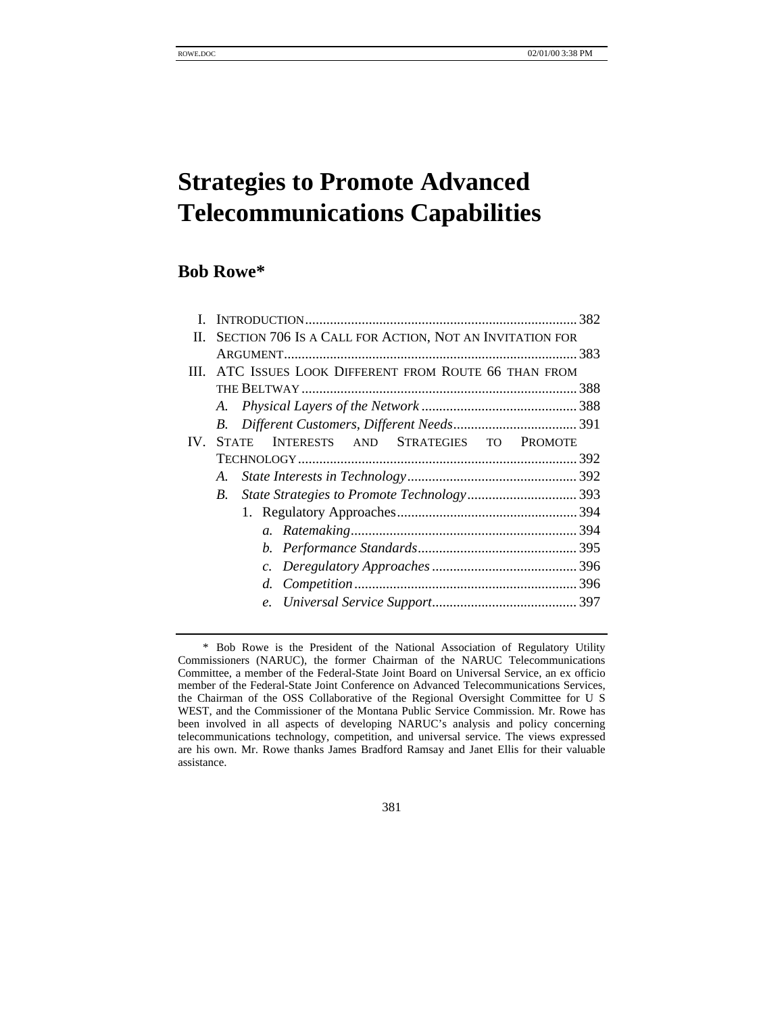# **Strategies to Promote Advanced Telecommunications Capabilities**

# **Bob Rowe\***

| H.  | SECTION 706 IS A CALL FOR ACTION, NOT AN INVITATION FOR       |  |
|-----|---------------------------------------------------------------|--|
|     |                                                               |  |
|     | III. ATC ISSUES LOOK DIFFERENT FROM ROUTE 66 THAN FROM        |  |
|     |                                                               |  |
|     |                                                               |  |
|     | B.                                                            |  |
| IV. | INTERESTS AND STRATEGIES TO<br><b>STATE</b><br><b>PROMOTE</b> |  |
|     |                                                               |  |
|     | А.                                                            |  |
|     | $B_{-}$                                                       |  |
|     |                                                               |  |
|     |                                                               |  |
|     |                                                               |  |
|     |                                                               |  |
|     |                                                               |  |
|     |                                                               |  |
|     |                                                               |  |

381

<sup>\*</sup> Bob Rowe is the President of the National Association of Regulatory Utility Commissioners (NARUC), the former Chairman of the NARUC Telecommunications Committee, a member of the Federal-State Joint Board on Universal Service, an ex officio member of the Federal-State Joint Conference on Advanced Telecommunications Services, the Chairman of the OSS Collaborative of the Regional Oversight Committee for U S WEST, and the Commissioner of the Montana Public Service Commission. Mr. Rowe has been involved in all aspects of developing NARUC's analysis and policy concerning telecommunications technology, competition, and universal service. The views expressed are his own. Mr. Rowe thanks James Bradford Ramsay and Janet Ellis for their valuable assistance.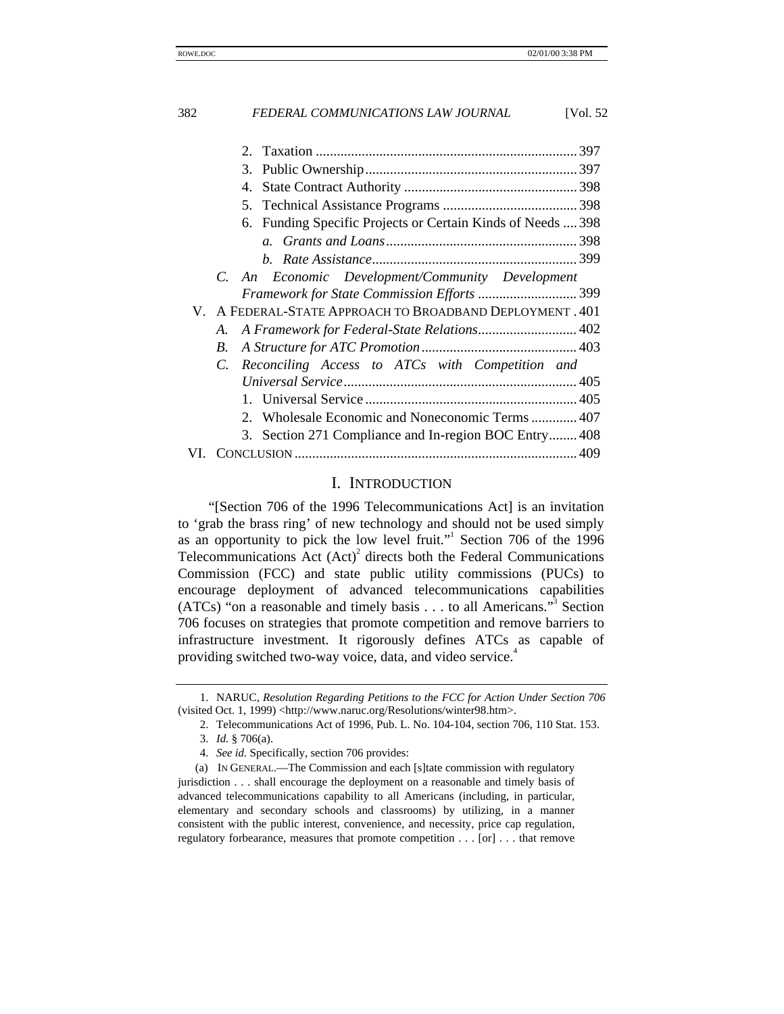| 3.                                                             |
|----------------------------------------------------------------|
|                                                                |
|                                                                |
| 6. Funding Specific Projects or Certain Kinds of Needs  398    |
|                                                                |
|                                                                |
| C. An Economic Development/Community Development               |
|                                                                |
| V. A FEDERAL-STATE APPROACH TO BROADBAND DEPLOYMENT. 401       |
| A.                                                             |
| B.                                                             |
| Reconciling Access to ATCs with Competition and<br>$C_{\cdot}$ |
|                                                                |
|                                                                |
| 2. Wholesale Economic and Noneconomic Terms  407               |
| 3. Section 271 Compliance and In-region BOC Entry 408          |
|                                                                |

#### I. INTRODUCTION

"[Section 706 of the 1996 Telecommunications Act] is an invitation to 'grab the brass ring' of new technology and should not be used simply as an opportunity to pick the low level fruit."<sup>1</sup> Section 706 of the 1996 Telecommunications  $\text{Act}(\text{Act})^2$  directs both the Federal Communications Commission (FCC) and state public utility commissions (PUCs) to encourage deployment of advanced telecommunications capabilities  $(ATCs)$  "on a reasonable and timely basis . . . to all Americans."<sup>3</sup> Section 706 focuses on strategies that promote competition and remove barriers to infrastructure investment. It rigorously defines ATCs as capable of providing switched two-way voice, data, and video service.<sup>4</sup>

<sup>1.</sup> NARUC, *Resolution Regarding Petitions to the FCC for Action Under Section 706* (visited Oct. 1, 1999) <http://www.naruc.org/Resolutions/winter98.htm>.

<sup>2.</sup> Telecommunications Act of 1996, Pub. L. No. 104-104, section 706, 110 Stat. 153.

<sup>3.</sup> *Id.* § 706(a).

<sup>4.</sup> *See id.* Specifically, section 706 provides:

<sup>(</sup>a) IN GENERAL.—The Commission and each [s]tate commission with regulatory jurisdiction . . . shall encourage the deployment on a reasonable and timely basis of advanced telecommunications capability to all Americans (including, in particular, elementary and secondary schools and classrooms) by utilizing, in a manner consistent with the public interest, convenience, and necessity, price cap regulation, regulatory forbearance, measures that promote competition . . . [or] . . . that remove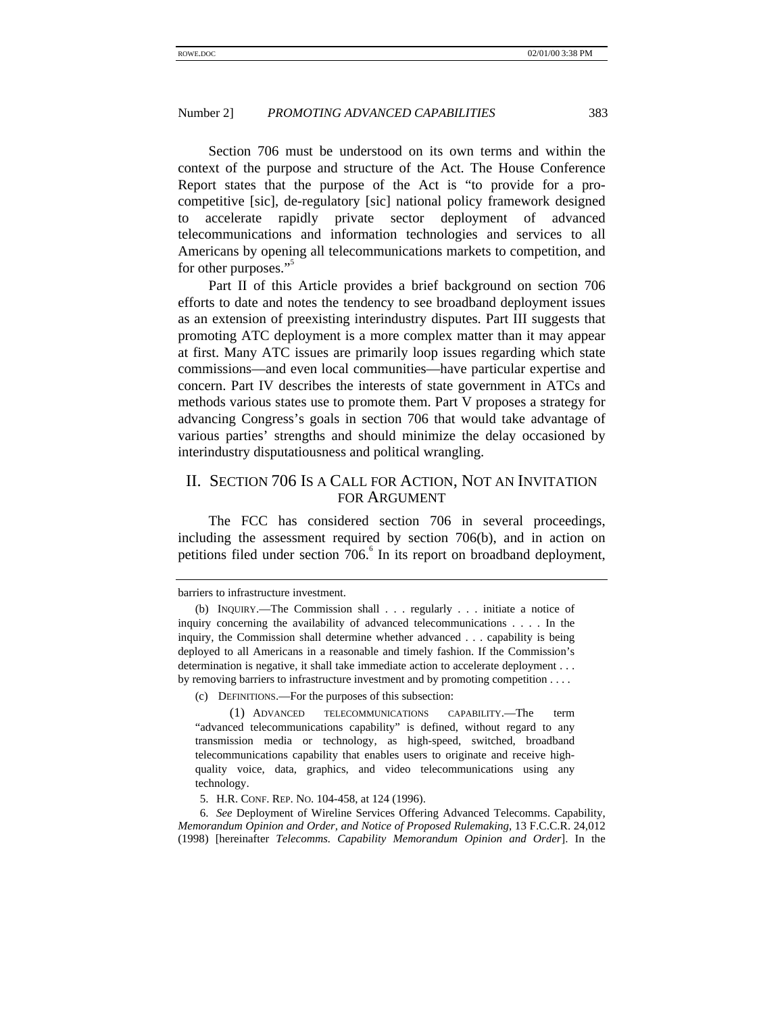Section 706 must be understood on its own terms and within the context of the purpose and structure of the Act. The House Conference Report states that the purpose of the Act is "to provide for a procompetitive [sic], de-regulatory [sic] national policy framework designed to accelerate rapidly private sector deployment of advanced telecommunications and information technologies and services to all Americans by opening all telecommunications markets to competition, and for other purposes."<sup>5</sup>

Part II of this Article provides a brief background on section 706 efforts to date and notes the tendency to see broadband deployment issues as an extension of preexisting interindustry disputes. Part III suggests that promoting ATC deployment is a more complex matter than it may appear at first. Many ATC issues are primarily loop issues regarding which state commissions—and even local communities—have particular expertise and concern. Part IV describes the interests of state government in ATCs and methods various states use to promote them. Part V proposes a strategy for advancing Congress's goals in section 706 that would take advantage of various parties' strengths and should minimize the delay occasioned by interindustry disputatiousness and political wrangling.

# II. SECTION 706 IS A CALL FOR ACTION, NOT AN INVITATION FOR ARGUMENT

The FCC has considered section 706 in several proceedings, including the assessment required by section 706(b), and in action on petitions filed under section 706.<sup>6</sup> In its report on broadband deployment,

(c) DEFINITIONS.—For the purposes of this subsection:

(1) ADVANCED TELECOMMUNICATIONS CAPABILITY.—The term "advanced telecommunications capability" is defined, without regard to any transmission media or technology, as high-speed, switched, broadband telecommunications capability that enables users to originate and receive highquality voice, data, graphics, and video telecommunications using any technology.

5. H.R. CONF. REP. NO. 104-458, at 124 (1996).

6. *See* Deployment of Wireline Services Offering Advanced Telecomms. Capability, *Memorandum Opinion and Order, and Notice of Proposed Rulemaking*, 13 F.C.C.R. 24,012 (1998) [hereinafter *Telecomms. Capability Memorandum Opinion and Order*]. In the

barriers to infrastructure investment.

<sup>(</sup>b) INQUIRY.—The Commission shall . . . regularly . . . initiate a notice of inquiry concerning the availability of advanced telecommunications . . . . In the inquiry, the Commission shall determine whether advanced . . . capability is being deployed to all Americans in a reasonable and timely fashion. If the Commission's determination is negative, it shall take immediate action to accelerate deployment . . . by removing barriers to infrastructure investment and by promoting competition . . . .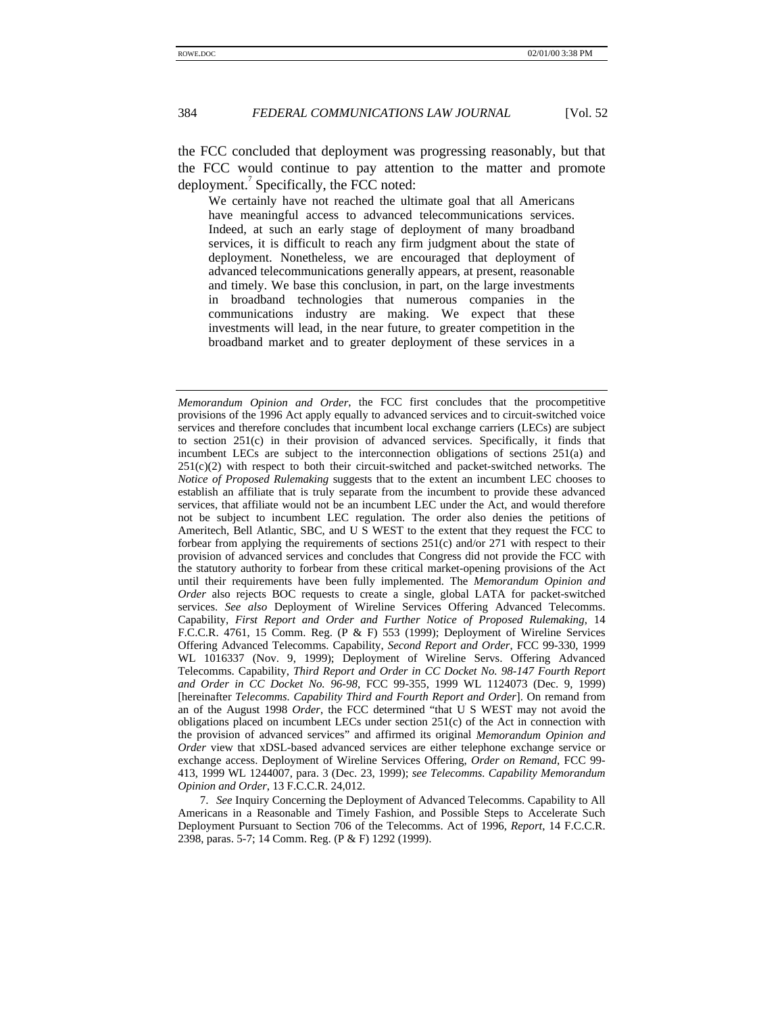the FCC concluded that deployment was progressing reasonably, but that the FCC would continue to pay attention to the matter and promote deployment.<sup>7</sup> Specifically, the FCC noted:

We certainly have not reached the ultimate goal that all Americans have meaningful access to advanced telecommunications services. Indeed, at such an early stage of deployment of many broadband services, it is difficult to reach any firm judgment about the state of deployment. Nonetheless, we are encouraged that deployment of advanced telecommunications generally appears, at present, reasonable and timely. We base this conclusion, in part, on the large investments in broadband technologies that numerous companies in the communications industry are making. We expect that these investments will lead, in the near future, to greater competition in the broadband market and to greater deployment of these services in a

7. *See* Inquiry Concerning the Deployment of Advanced Telecomms. Capability to All Americans in a Reasonable and Timely Fashion, and Possible Steps to Accelerate Such Deployment Pursuant to Section 706 of the Telecomms. Act of 1996, *Report*, 14 F.C.C.R. 2398, paras. 5-7; 14 Comm. Reg. (P & F) 1292 (1999).

*Memorandum Opinion and Order*, the FCC first concludes that the procompetitive provisions of the 1996 Act apply equally to advanced services and to circuit-switched voice services and therefore concludes that incumbent local exchange carriers (LECs) are subject to section 251(c) in their provision of advanced services. Specifically, it finds that incumbent LECs are subject to the interconnection obligations of sections 251(a) and  $251(c)(2)$  with respect to both their circuit-switched and packet-switched networks. The *Notice of Proposed Rulemaking* suggests that to the extent an incumbent LEC chooses to establish an affiliate that is truly separate from the incumbent to provide these advanced services, that affiliate would not be an incumbent LEC under the Act, and would therefore not be subject to incumbent LEC regulation. The order also denies the petitions of Ameritech, Bell Atlantic, SBC, and U S WEST to the extent that they request the FCC to forbear from applying the requirements of sections 251(c) and/or 271 with respect to their provision of advanced services and concludes that Congress did not provide the FCC with the statutory authority to forbear from these critical market-opening provisions of the Act until their requirements have been fully implemented. The *Memorandum Opinion and Order* also rejects BOC requests to create a single, global LATA for packet-switched services. *See also* Deployment of Wireline Services Offering Advanced Telecomms. Capability, *First Report and Order and Further Notice of Proposed Rulemaking*, 14 F.C.C.R. 4761, 15 Comm. Reg. (P & F) 553 (1999); Deployment of Wireline Services Offering Advanced Telecomms. Capability, *Second Report and Order*, FCC 99-330, 1999 WL 1016337 (Nov. 9, 1999); Deployment of Wireline Servs. Offering Advanced Telecomms. Capability, *Third Report and Order in CC Docket No. 98-147 Fourth Report and Order in CC Docket No. 96-98*, FCC 99-355, 1999 WL 1124073 (Dec. 9, 1999) [hereinafter *Telecomms. Capability Third and Fourth Report and Order*]. On remand from an of the August 1998 *Order*, the FCC determined "that U S WEST may not avoid the obligations placed on incumbent LECs under section 251(c) of the Act in connection with the provision of advanced services" and affirmed its original *Memorandum Opinion and Order* view that xDSL-based advanced services are either telephone exchange service or exchange access. Deployment of Wireline Services Offering, *Order on Remand*, FCC 99- 413, 1999 WL 1244007, para. 3 (Dec. 23, 1999); *see Telecomms. Capability Memorandum Opinion and Order*, 13 F.C.C.R. 24,012.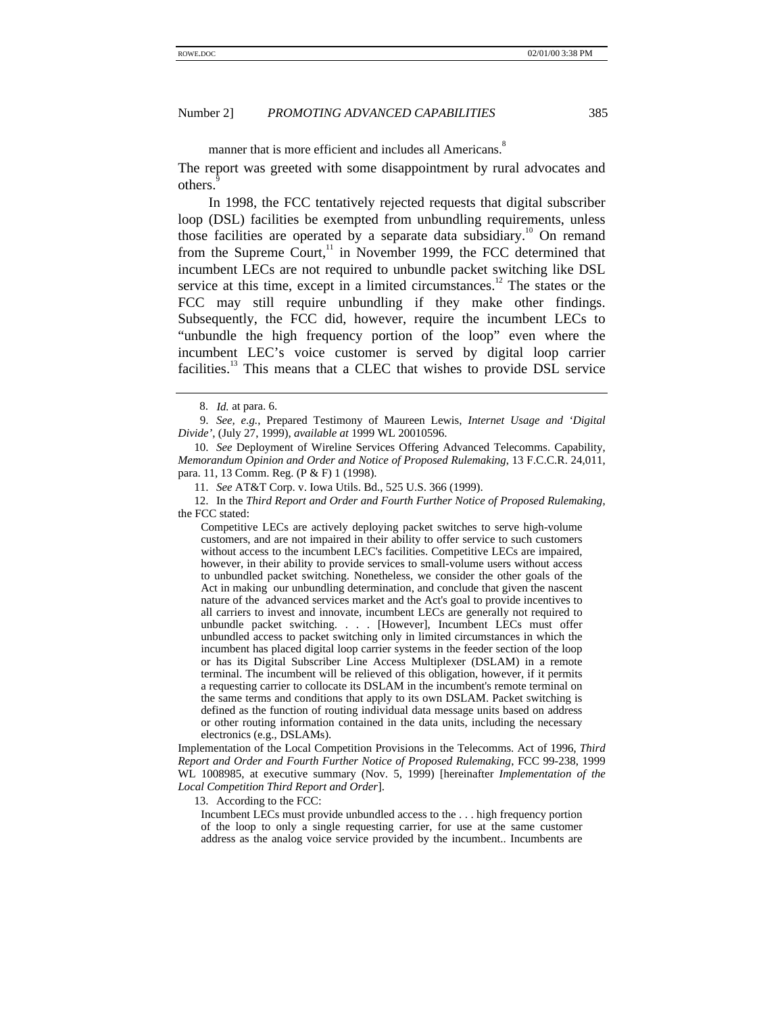manner that is more efficient and includes all Americans.<sup>8</sup>

The report was greeted with some disappointment by rural advocates and others.

In 1998, the FCC tentatively rejected requests that digital subscriber loop (DSL) facilities be exempted from unbundling requirements, unless those facilities are operated by a separate data subsidiary.<sup>10</sup> On remand from the Supreme Court, $11$  in November 1999, the FCC determined that incumbent LECs are not required to unbundle packet switching like DSL service at this time, except in a limited circumstances.<sup>12</sup> The states or the FCC may still require unbundling if they make other findings. Subsequently, the FCC did, however, require the incumbent LECs to "unbundle the high frequency portion of the loop" even where the incumbent LEC's voice customer is served by digital loop carrier facilities.<sup>13</sup> This means that a CLEC that wishes to provide DSL service

Competitive LECs are actively deploying packet switches to serve high-volume customers, and are not impaired in their ability to offer service to such customers without access to the incumbent LEC's facilities. Competitive LECs are impaired, however, in their ability to provide services to small-volume users without access to unbundled packet switching. Nonetheless, we consider the other goals of the Act in making our unbundling determination, and conclude that given the nascent nature of the advanced services market and the Act's goal to provide incentives to all carriers to invest and innovate, incumbent LECs are generally not required to unbundle packet switching. . . . [However], Incumbent LECs must offer unbundled access to packet switching only in limited circumstances in which the incumbent has placed digital loop carrier systems in the feeder section of the loop or has its Digital Subscriber Line Access Multiplexer (DSLAM) in a remote terminal. The incumbent will be relieved of this obligation, however, if it permits a requesting carrier to collocate its DSLAM in the incumbent's remote terminal on the same terms and conditions that apply to its own DSLAM. Packet switching is defined as the function of routing individual data message units based on address or other routing information contained in the data units, including the necessary electronics (e.g., DSLAMs).

Implementation of the Local Competition Provisions in the Telecomms. Act of 1996, *Third Report and Order and Fourth Further Notice of Proposed Rulemaking*, FCC 99-238, 1999 WL 1008985, at executive summary (Nov. 5, 1999) [hereinafter *Implementation of the Local Competition Third Report and Order*].

13. According to the FCC:

Incumbent LECs must provide unbundled access to the . . . high frequency portion of the loop to only a single requesting carrier, for use at the same customer address as the analog voice service provided by the incumbent.. Incumbents are

<sup>8.</sup> *Id.* at para. 6.

<sup>9.</sup> *See, e.g.*, Prepared Testimony of Maureen Lewis, *Internet Usage and 'Digital Divide'*, (July 27, 1999), *available at* 1999 WL 20010596.

<sup>10.</sup> *See* Deployment of Wireline Services Offering Advanced Telecomms. Capability, *Memorandum Opinion and Order and Notice of Proposed Rulemaking*, 13 F.C.C.R. 24,011, para. 11, 13 Comm. Reg. (P & F) 1 (1998).

<sup>11.</sup> *See* AT&T Corp. v. Iowa Utils. Bd., 525 U.S. 366 (1999).

<sup>12.</sup> In the *Third Report and Order and Fourth Further Notice of Proposed Rulemaking*, the FCC stated: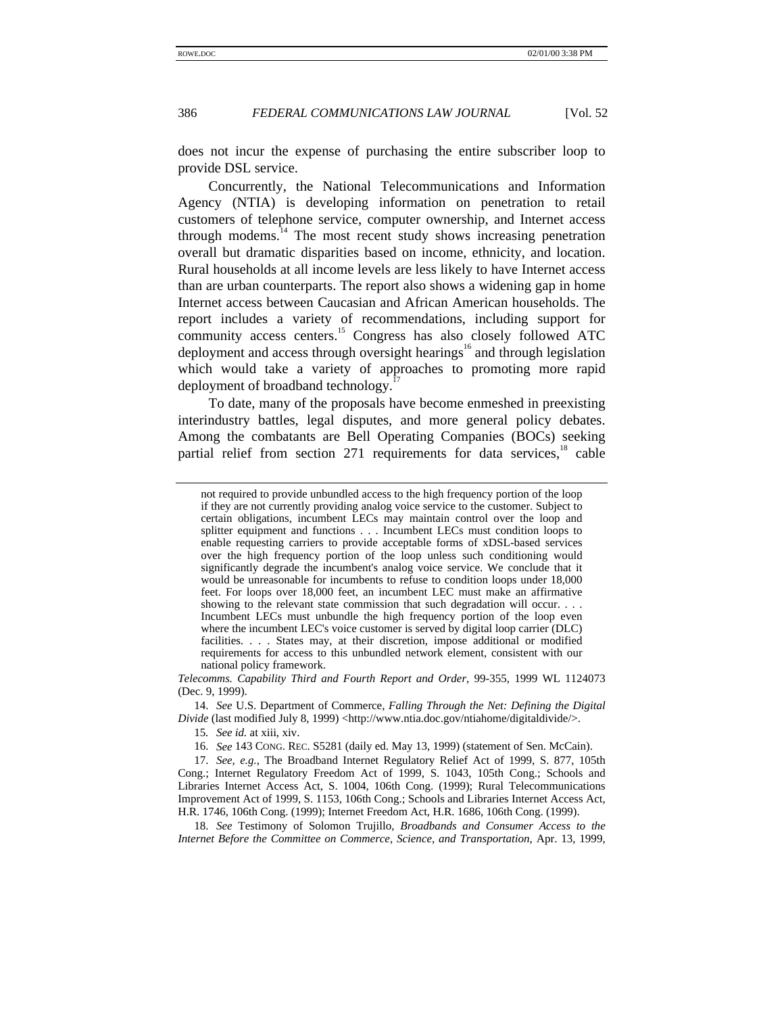does not incur the expense of purchasing the entire subscriber loop to provide DSL service.

Concurrently, the National Telecommunications and Information Agency (NTIA) is developing information on penetration to retail customers of telephone service, computer ownership, and Internet access through modems. $14$  The most recent study shows increasing penetration overall but dramatic disparities based on income, ethnicity, and location. Rural households at all income levels are less likely to have Internet access than are urban counterparts. The report also shows a widening gap in home Internet access between Caucasian and African American households. The report includes a variety of recommendations, including support for community access centers.<sup>15</sup> Congress has also closely followed ATC deployment and access through oversight hearings<sup>16</sup> and through legislation which would take a variety of approaches to promoting more rapid deployment of broadband technology.<sup>1</sup>

To date, many of the proposals have become enmeshed in preexisting interindustry battles, legal disputes, and more general policy debates. Among the combatants are Bell Operating Companies (BOCs) seeking partial relief from section  $271$  requirements for data services, $18$  cable

14. *See* U.S. Department of Commerce, *Falling Through the Net: Defining the Digital Divide* (last modified July 8, 1999) <http://www.ntia.doc.gov/ntiahome/digitaldivide/>.

15*. See id.* at xiii, xiv.

16. *See* 143 CONG. REC. S5281 (daily ed. May 13, 1999) (statement of Sen. McCain).

17. *See, e.g.*, The Broadband Internet Regulatory Relief Act of 1999, S. 877, 105th Cong.; Internet Regulatory Freedom Act of 1999, S. 1043, 105th Cong.; Schools and Libraries Internet Access Act, S. 1004, 106th Cong. (1999); Rural Telecommunications Improvement Act of 1999, S. 1153, 106th Cong.; Schools and Libraries Internet Access Act, H.R. 1746, 106th Cong. (1999); Internet Freedom Act, H.R. 1686, 106th Cong. (1999).

18. *See* Testimony of Solomon Trujillo, *Broadbands and Consumer Access to the Internet Before the Committee on Commerce, Science, and Transportation*, Apr. 13, 1999,

not required to provide unbundled access to the high frequency portion of the loop if they are not currently providing analog voice service to the customer. Subject to certain obligations, incumbent LECs may maintain control over the loop and splitter equipment and functions . . . Incumbent LECs must condition loops to enable requesting carriers to provide acceptable forms of xDSL-based services over the high frequency portion of the loop unless such conditioning would significantly degrade the incumbent's analog voice service. We conclude that it would be unreasonable for incumbents to refuse to condition loops under 18,000 feet. For loops over 18,000 feet, an incumbent LEC must make an affirmative showing to the relevant state commission that such degradation will occur. . . . Incumbent LECs must unbundle the high frequency portion of the loop even where the incumbent LEC's voice customer is served by digital loop carrier (DLC) facilities. . . . States may, at their discretion, impose additional or modified requirements for access to this unbundled network element, consistent with our national policy framework.

*Telecomms. Capability Third and Fourth Report and Order*, 99-355, 1999 WL 1124073 (Dec. 9, 1999).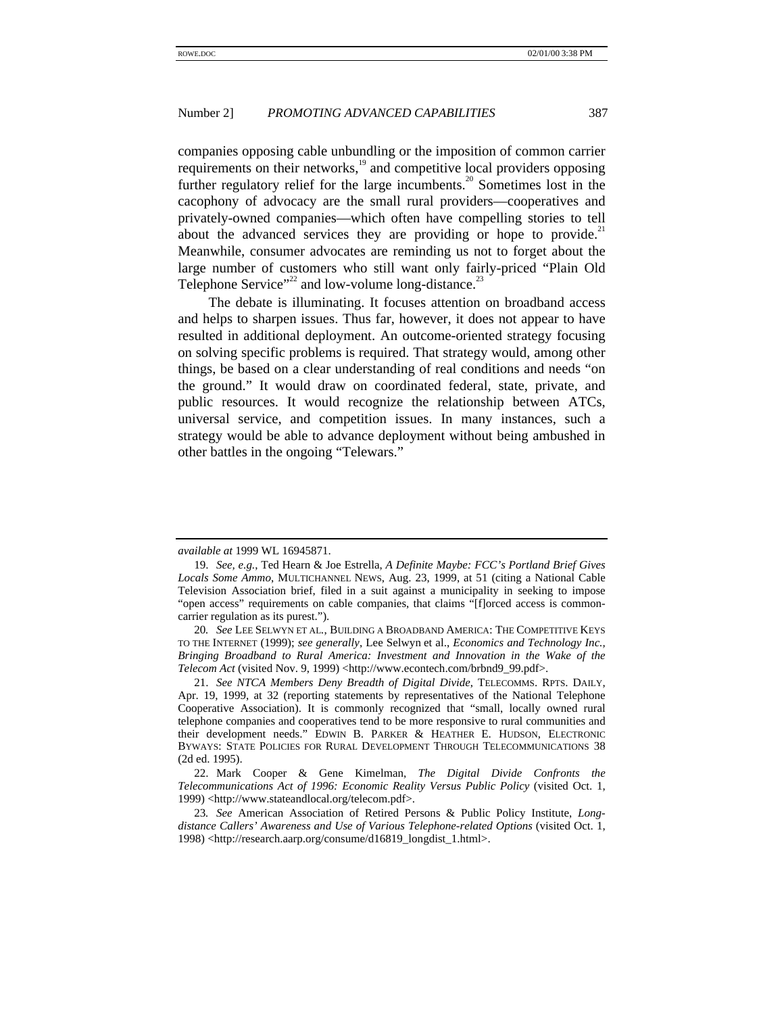companies opposing cable unbundling or the imposition of common carrier requirements on their networks,<sup>19</sup> and competitive local providers opposing further regulatory relief for the large incumbents.<sup>20</sup> Sometimes lost in the cacophony of advocacy are the small rural providers—cooperatives and privately-owned companies—which often have compelling stories to tell about the advanced services they are providing or hope to provide. $21$ Meanwhile, consumer advocates are reminding us not to forget about the large number of customers who still want only fairly-priced "Plain Old Telephone Service"<sup>22</sup> and low-volume long-distance.<sup>23</sup>

The debate is illuminating. It focuses attention on broadband access and helps to sharpen issues. Thus far, however, it does not appear to have resulted in additional deployment. An outcome-oriented strategy focusing on solving specific problems is required. That strategy would, among other things, be based on a clear understanding of real conditions and needs "on the ground." It would draw on coordinated federal, state, private, and public resources. It would recognize the relationship between ATCs, universal service, and competition issues. In many instances, such a strategy would be able to advance deployment without being ambushed in other battles in the ongoing "Telewars."

*available at* 1999 WL 16945871.

<sup>19.</sup> *See, e.g.*, Ted Hearn & Joe Estrella, *A Definite Maybe: FCC's Portland Brief Gives Locals Some Ammo*, MULTICHANNEL NEWS, Aug. 23, 1999, at 51 (citing a National Cable Television Association brief, filed in a suit against a municipality in seeking to impose "open access" requirements on cable companies, that claims "[f]orced access is commoncarrier regulation as its purest.").

<sup>20</sup>*. See* LEE SELWYN ET AL*.*, BUILDING A BROADBAND AMERICA: THE COMPETITIVE KEYS TO THE INTERNET (1999); *see generally*, Lee Selwyn et al., *Economics and Technology Inc., Bringing Broadband to Rural America: Investment and Innovation in the Wake of the Telecom Act* (visited Nov. 9, 1999) <http://www.econtech.com/brbnd9\_99.pdf>.

<sup>21.</sup> *See NTCA Members Deny Breadth of Digital Divide*, TELECOMMS. RPTS. DAILY, Apr. 19, 1999, at 32 (reporting statements by representatives of the National Telephone Cooperative Association). It is commonly recognized that "small, locally owned rural telephone companies and cooperatives tend to be more responsive to rural communities and their development needs." EDWIN B. PARKER & HEATHER E. HUDSON, ELECTRONIC BYWAYS: STATE POLICIES FOR RURAL DEVELOPMENT THROUGH TELECOMMUNICATIONS 38 (2d ed. 1995).

<sup>22.</sup> Mark Cooper & Gene Kimelman, *The Digital Divide Confronts the Telecommunications Act of 1996: Economic Reality Versus Public Policy* (visited Oct. 1, 1999) <http://www.stateandlocal.org/telecom.pdf>.

<sup>23</sup>*. See* American Association of Retired Persons & Public Policy Institute, *Longdistance Callers' Awareness and Use of Various Telephone-related Options* (visited Oct. 1, 1998) <http://research.aarp.org/consume/d16819\_longdist\_1.html>.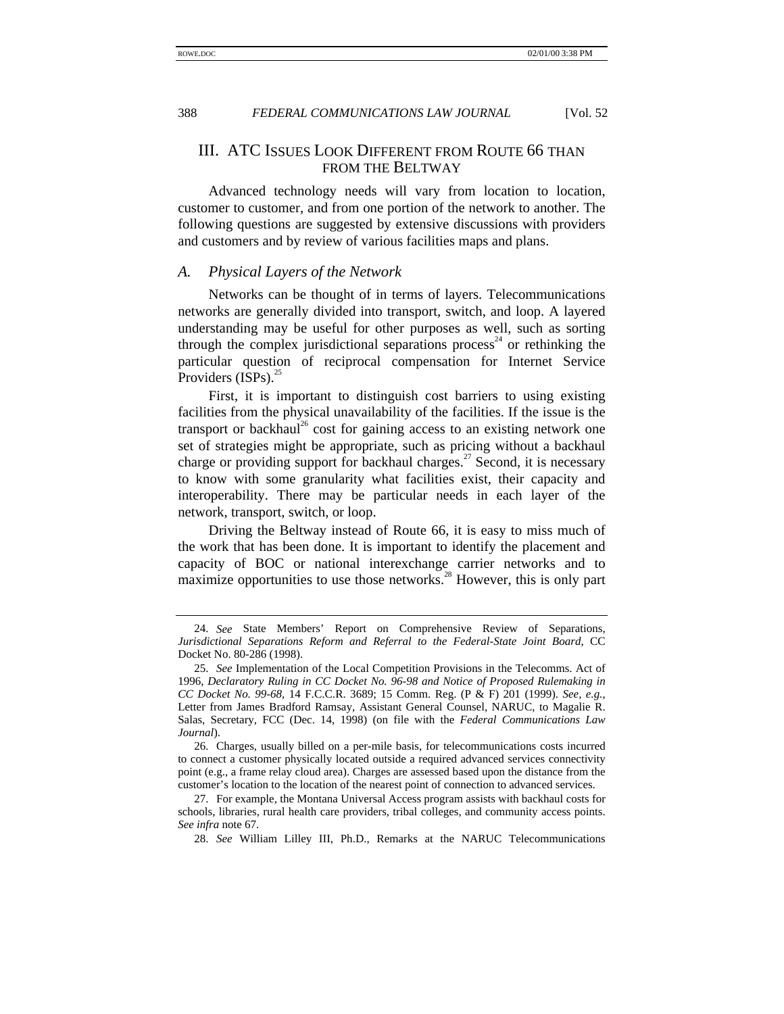# III. ATC ISSUES LOOK DIFFERENT FROM ROUTE 66 THAN FROM THE BELTWAY

Advanced technology needs will vary from location to location, customer to customer, and from one portion of the network to another. The following questions are suggested by extensive discussions with providers and customers and by review of various facilities maps and plans.

#### *A. Physical Layers of the Network*

Networks can be thought of in terms of layers. Telecommunications networks are generally divided into transport, switch, and loop. A layered understanding may be useful for other purposes as well, such as sorting through the complex jurisdictional separations process<sup>24</sup> or rethinking the particular question of reciprocal compensation for Internet Service Providers  $(ISPs)$ .

First, it is important to distinguish cost barriers to using existing facilities from the physical unavailability of the facilities. If the issue is the transport or backhaul<sup>26</sup> cost for gaining access to an existing network one set of strategies might be appropriate, such as pricing without a backhaul charge or providing support for backhaul charges.<sup>27</sup> Second, it is necessary to know with some granularity what facilities exist, their capacity and interoperability. There may be particular needs in each layer of the network, transport, switch, or loop.

Driving the Beltway instead of Route 66, it is easy to miss much of the work that has been done. It is important to identify the placement and capacity of BOC or national interexchange carrier networks and to maximize opportunities to use those networks. $^{28}$  However, this is only part

<sup>24.</sup> *See* State Members' Report on Comprehensive Review of Separations, *Jurisdictional Separations Reform and Referral to the Federal-State Joint Board*, CC Docket No. 80-286 (1998).

<sup>25.</sup> *See* Implementation of the Local Competition Provisions in the Telecomms. Act of 1996, *Declaratory Ruling in CC Docket No. 96-98 and Notice of Proposed Rulemaking in CC Docket No. 99-68*, 14 F.C.C.R. 3689; 15 Comm. Reg. (P & F) 201 (1999). *See, e.g.*, Letter from James Bradford Ramsay, Assistant General Counsel, NARUC, to Magalie R. Salas, Secretary, FCC (Dec. 14, 1998) (on file with the *Federal Communications Law Journal*).

<sup>26.</sup> Charges, usually billed on a per-mile basis, for telecommunications costs incurred to connect a customer physically located outside a required advanced services connectivity point (e.g., a frame relay cloud area). Charges are assessed based upon the distance from the customer's location to the location of the nearest point of connection to advanced services.

<sup>27.</sup> For example, the Montana Universal Access program assists with backhaul costs for schools, libraries, rural health care providers, tribal colleges, and community access points. *See infra* note 67.

<sup>28.</sup> *See* William Lilley III, Ph.D., Remarks at the NARUC Telecommunications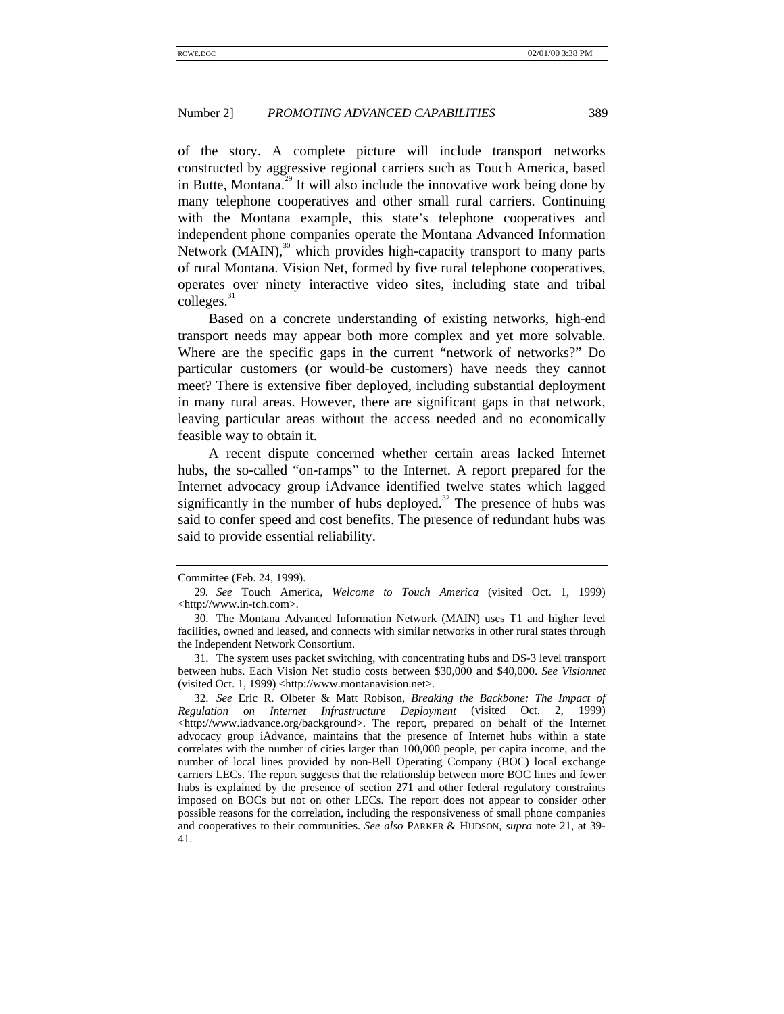of the story. A complete picture will include transport networks constructed by aggressive regional carriers such as Touch America, based in Butte, Montana.<sup>29</sup> It will also include the innovative work being done by many telephone cooperatives and other small rural carriers. Continuing with the Montana example, this state's telephone cooperatives and independent phone companies operate the Montana Advanced Information Network  $(MAIN)$ ,<sup>30</sup> which provides high-capacity transport to many parts of rural Montana. Vision Net, formed by five rural telephone cooperatives, operates over ninety interactive video sites, including state and tribal  $\text{colleges.}^{31}$ 

Based on a concrete understanding of existing networks, high-end transport needs may appear both more complex and yet more solvable. Where are the specific gaps in the current "network of networks?" Do particular customers (or would-be customers) have needs they cannot meet? There is extensive fiber deployed, including substantial deployment in many rural areas. However, there are significant gaps in that network, leaving particular areas without the access needed and no economically feasible way to obtain it.

A recent dispute concerned whether certain areas lacked Internet hubs, the so-called "on-ramps" to the Internet. A report prepared for the Internet advocacy group iAdvance identified twelve states which lagged significantly in the number of hubs deployed.<sup>32</sup> The presence of hubs was said to confer speed and cost benefits. The presence of redundant hubs was said to provide essential reliability.

Committee (Feb. 24, 1999).

<sup>29</sup>*. See* Touch America, *Welcome to Touch America* (visited Oct. 1, 1999) <http://www.in-tch.com>.

<sup>30.</sup> The Montana Advanced Information Network (MAIN) uses T1 and higher level facilities, owned and leased, and connects with similar networks in other rural states through the Independent Network Consortium.

<sup>31.</sup> The system uses packet switching, with concentrating hubs and DS-3 level transport between hubs. Each Vision Net studio costs between \$30,000 and \$40,000. *See Visionnet* (visited Oct. 1, 1999) <http://www.montanavision.net>.

<sup>32.</sup> *See* Eric R. Olbeter & Matt Robison, *Breaking the Backbone: The Impact of Regulation on Internet Infrastructure Deployment* (visited Oct. 2, 1999) <http://www.iadvance.org/background>. The report, prepared on behalf of the Internet advocacy group iAdvance, maintains that the presence of Internet hubs within a state correlates with the number of cities larger than 100,000 people, per capita income, and the number of local lines provided by non-Bell Operating Company (BOC) local exchange carriers LECs. The report suggests that the relationship between more BOC lines and fewer hubs is explained by the presence of section 271 and other federal regulatory constraints imposed on BOCs but not on other LECs. The report does not appear to consider other possible reasons for the correlation, including the responsiveness of small phone companies and cooperatives to their communities. *See also* PARKER & HUDSON, *supra* note 21, at 39- 41.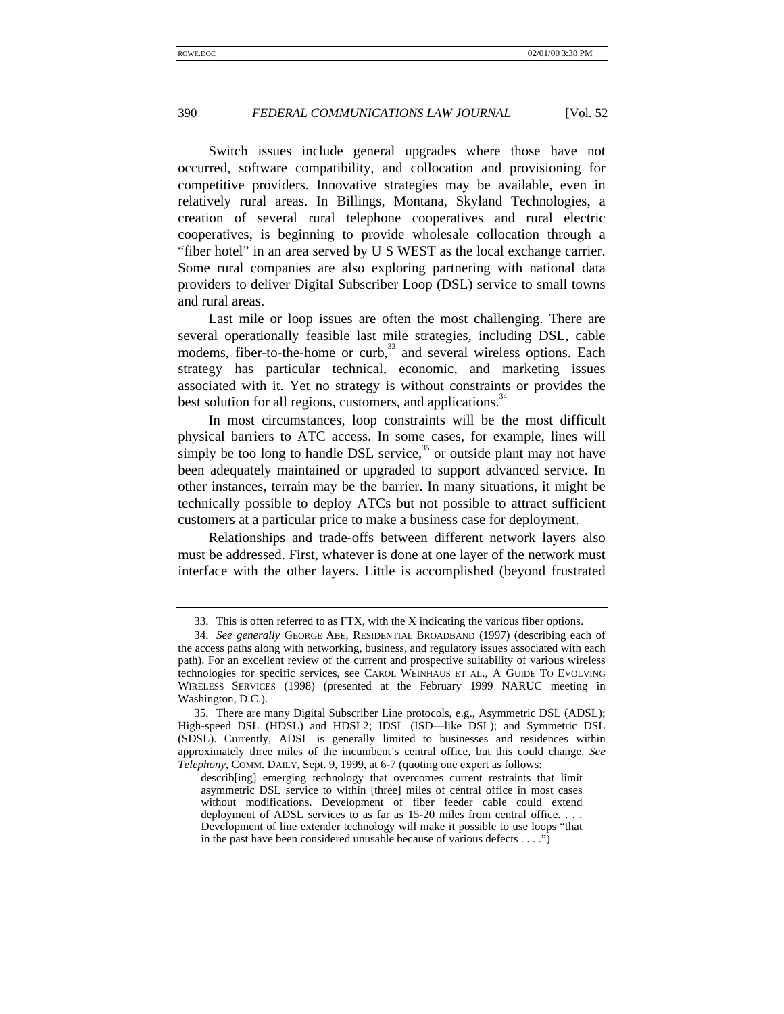Switch issues include general upgrades where those have not occurred, software compatibility, and collocation and provisioning for competitive providers. Innovative strategies may be available, even in relatively rural areas. In Billings, Montana, Skyland Technologies, a creation of several rural telephone cooperatives and rural electric cooperatives, is beginning to provide wholesale collocation through a "fiber hotel" in an area served by U S WEST as the local exchange carrier. Some rural companies are also exploring partnering with national data providers to deliver Digital Subscriber Loop (DSL) service to small towns and rural areas.

Last mile or loop issues are often the most challenging. There are several operationally feasible last mile strategies, including DSL, cable modems, fiber-to-the-home or curb,<sup>33</sup> and several wireless options. Each strategy has particular technical, economic, and marketing issues associated with it. Yet no strategy is without constraints or provides the best solution for all regions, customers, and applications.<sup>34</sup>

In most circumstances, loop constraints will be the most difficult physical barriers to ATC access. In some cases, for example, lines will simply be too long to handle DSL service, $35$  or outside plant may not have been adequately maintained or upgraded to support advanced service. In other instances, terrain may be the barrier. In many situations, it might be technically possible to deploy ATCs but not possible to attract sufficient customers at a particular price to make a business case for deployment.

Relationships and trade-offs between different network layers also must be addressed. First, whatever is done at one layer of the network must interface with the other layers. Little is accomplished (beyond frustrated

<sup>33.</sup> This is often referred to as FTX, with the X indicating the various fiber options.

<sup>34.</sup> *See generally* GEORGE ABE, RESIDENTIAL BROADBAND (1997) (describing each of the access paths along with networking, business, and regulatory issues associated with each path). For an excellent review of the current and prospective suitability of various wireless technologies for specific services, see CAROL WEINHAUS ET AL., A GUIDE TO EVOLVING WIRELESS SERVICES (1998) (presented at the February 1999 NARUC meeting in Washington, D.C.).

<sup>35.</sup> There are many Digital Subscriber Line protocols, e.g., Asymmetric DSL (ADSL); High-speed DSL (HDSL) and HDSL2; IDSL (ISD—like DSL); and Symmetric DSL (SDSL). Currently, ADSL is generally limited to businesses and residences within approximately three miles of the incumbent's central office, but this could change. *See Telephony*, COMM. DAILY, Sept. 9, 1999, at 6-7 (quoting one expert as follows:

describ[ing] emerging technology that overcomes current restraints that limit asymmetric DSL service to within [three] miles of central office in most cases without modifications. Development of fiber feeder cable could extend deployment of ADSL services to as far as 15-20 miles from central office. . . . Development of line extender technology will make it possible to use loops "that in the past have been considered unusable because of various defects  $\dots$ .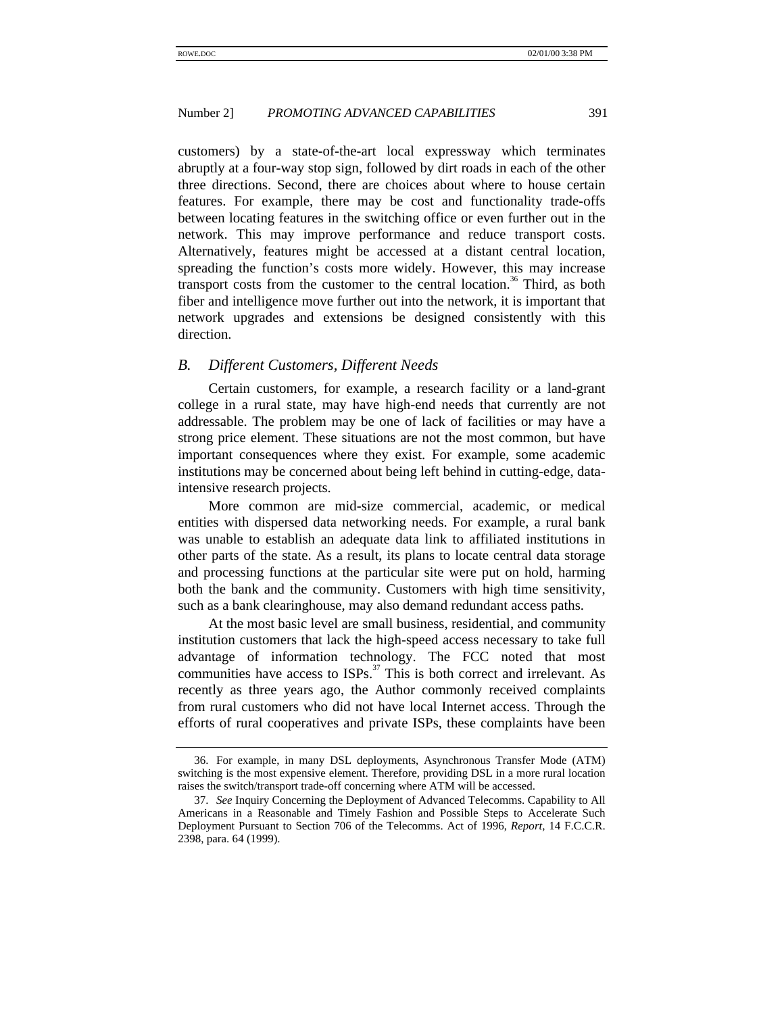customers) by a state-of-the-art local expressway which terminates abruptly at a four-way stop sign, followed by dirt roads in each of the other three directions. Second, there are choices about where to house certain features. For example, there may be cost and functionality trade-offs between locating features in the switching office or even further out in the network. This may improve performance and reduce transport costs. Alternatively, features might be accessed at a distant central location, spreading the function's costs more widely. However, this may increase transport costs from the customer to the central location.<sup>36</sup> Third, as both fiber and intelligence move further out into the network, it is important that network upgrades and extensions be designed consistently with this direction.

#### *B. Different Customers, Different Needs*

Certain customers, for example, a research facility or a land-grant college in a rural state, may have high-end needs that currently are not addressable. The problem may be one of lack of facilities or may have a strong price element. These situations are not the most common, but have important consequences where they exist. For example, some academic institutions may be concerned about being left behind in cutting-edge, dataintensive research projects.

More common are mid-size commercial, academic, or medical entities with dispersed data networking needs. For example, a rural bank was unable to establish an adequate data link to affiliated institutions in other parts of the state. As a result, its plans to locate central data storage and processing functions at the particular site were put on hold, harming both the bank and the community. Customers with high time sensitivity, such as a bank clearinghouse, may also demand redundant access paths.

At the most basic level are small business, residential, and community institution customers that lack the high-speed access necessary to take full advantage of information technology. The FCC noted that most communities have access to  $ISPs$ <sup>37</sup>. This is both correct and irrelevant. As recently as three years ago, the Author commonly received complaints from rural customers who did not have local Internet access. Through the efforts of rural cooperatives and private ISPs, these complaints have been

<sup>36.</sup> For example, in many DSL deployments, Asynchronous Transfer Mode (ATM) switching is the most expensive element. Therefore, providing DSL in a more rural location raises the switch/transport trade-off concerning where ATM will be accessed.

<sup>37.</sup> *See* Inquiry Concerning the Deployment of Advanced Telecomms. Capability to All Americans in a Reasonable and Timely Fashion and Possible Steps to Accelerate Such Deployment Pursuant to Section 706 of the Telecomms. Act of 1996, *Report*, 14 F.C.C.R. 2398, para. 64 (1999).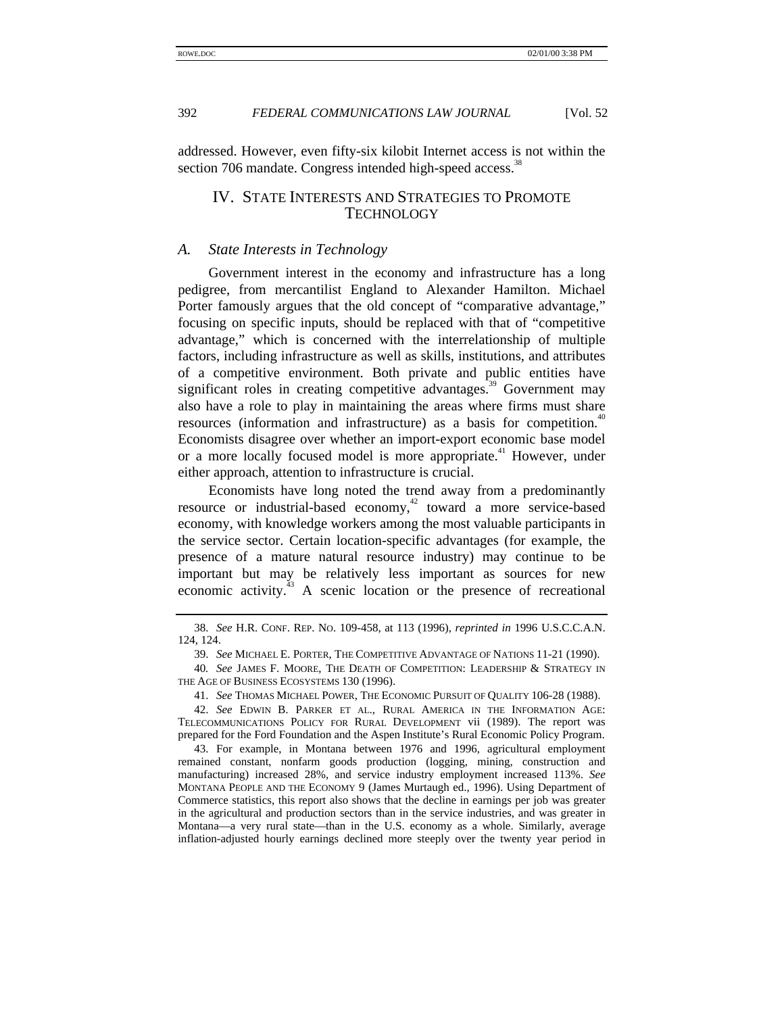addressed. However, even fifty-six kilobit Internet access is not within the section 706 mandate. Congress intended high-speed access.<sup>38</sup>

# IV. STATE INTERESTS AND STRATEGIES TO PROMOTE TECHNOLOGY

#### *A. State Interests in Technology*

Government interest in the economy and infrastructure has a long pedigree, from mercantilist England to Alexander Hamilton. Michael Porter famously argues that the old concept of "comparative advantage," focusing on specific inputs, should be replaced with that of "competitive advantage," which is concerned with the interrelationship of multiple factors, including infrastructure as well as skills, institutions, and attributes of a competitive environment. Both private and public entities have significant roles in creating competitive advantages.<sup>39</sup> Government may also have a role to play in maintaining the areas where firms must share resources (information and infrastructure) as a basis for competition.<sup>40</sup> Economists disagree over whether an import-export economic base model or a more locally focused model is more appropriate.<sup>41</sup> However, under either approach, attention to infrastructure is crucial.

Economists have long noted the trend away from a predominantly resource or industrial-based economy,<sup>42</sup> toward a more service-based economy, with knowledge workers among the most valuable participants in the service sector. Certain location-specific advantages (for example, the presence of a mature natural resource industry) may continue to be important but may be relatively less important as sources for new economic activity.<sup>43</sup> A scenic location or the presence of recreational

<sup>38.</sup> *See* H.R. CONF. REP. NO. 109-458, at 113 (1996), *reprinted in* 1996 U.S.C.C.A.N. 124, 124.

<sup>39.</sup> *See* MICHAEL E. PORTER, THE COMPETITIVE ADVANTAGE OF NATIONS 11-21 (1990).

<sup>40</sup>*. See* JAMES F. MOORE, THE DEATH OF COMPETITION: LEADERSHIP & STRATEGY IN THE AGE OF BUSINESS ECOSYSTEMS 130 (1996).

<sup>41.</sup> *See* THOMAS MICHAEL POWER, THE ECONOMIC PURSUIT OF QUALITY 106-28 (1988).

<sup>42.</sup> *See* EDWIN B. PARKER ET AL., RURAL AMERICA IN THE INFORMATION AGE: TELECOMMUNICATIONS POLICY FOR RURAL DEVELOPMENT vii (1989). The report was prepared for the Ford Foundation and the Aspen Institute's Rural Economic Policy Program.

<sup>43.</sup> For example, in Montana between 1976 and 1996, agricultural employment remained constant, nonfarm goods production (logging, mining, construction and manufacturing) increased 28%, and service industry employment increased 113%. *See* MONTANA PEOPLE AND THE ECONOMY 9 (James Murtaugh ed., 1996). Using Department of Commerce statistics, this report also shows that the decline in earnings per job was greater in the agricultural and production sectors than in the service industries, and was greater in Montana—a very rural state—than in the U.S. economy as a whole. Similarly, average inflation-adjusted hourly earnings declined more steeply over the twenty year period in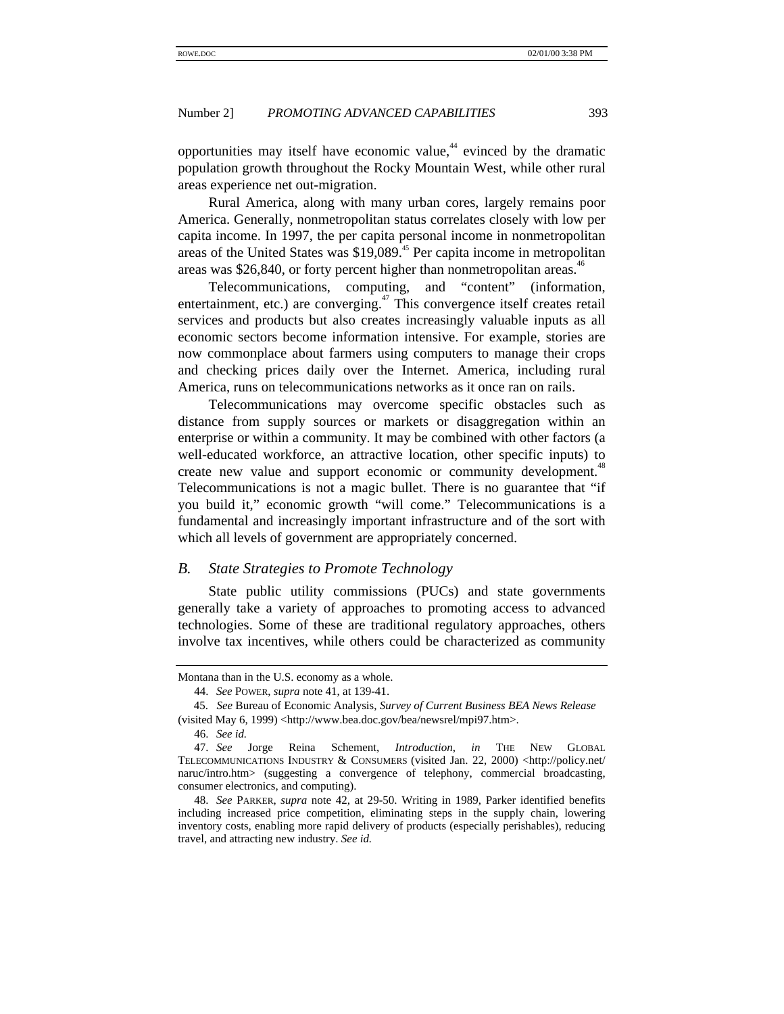opportunities may itself have economic value, $44$  evinced by the dramatic population growth throughout the Rocky Mountain West, while other rural areas experience net out-migration.

Rural America, along with many urban cores, largely remains poor America. Generally, nonmetropolitan status correlates closely with low per capita income. In 1997, the per capita personal income in nonmetropolitan areas of the United States was \$19,089.<sup>45</sup> Per capita income in metropolitan areas was \$26,840, or forty percent higher than nonmetropolitan areas.<sup>4</sup>

Telecommunications, computing, and "content" (information, entertainment, etc.) are converging.<sup>47</sup> This convergence itself creates retail services and products but also creates increasingly valuable inputs as all economic sectors become information intensive. For example, stories are now commonplace about farmers using computers to manage their crops and checking prices daily over the Internet. America, including rural America, runs on telecommunications networks as it once ran on rails.

Telecommunications may overcome specific obstacles such as distance from supply sources or markets or disaggregation within an enterprise or within a community. It may be combined with other factors (a well-educated workforce, an attractive location, other specific inputs) to create new value and support economic or community development.<sup>48</sup> Telecommunications is not a magic bullet. There is no guarantee that "if you build it," economic growth "will come." Telecommunications is a fundamental and increasingly important infrastructure and of the sort with which all levels of government are appropriately concerned.

#### *B. State Strategies to Promote Technology*

State public utility commissions (PUCs) and state governments generally take a variety of approaches to promoting access to advanced technologies. Some of these are traditional regulatory approaches, others involve tax incentives, while others could be characterized as community

Montana than in the U.S. economy as a whole.

<sup>44.</sup> *See* POWER, *supra* note 41, at 139-41.

<sup>45.</sup> *See* Bureau of Economic Analysis, *Survey of Current Business BEA News Release* (visited May 6, 1999) <http://www.bea.doc.gov/bea/newsrel/mpi97.htm>.

<sup>46.</sup> *See id.*

<sup>47.</sup> *See* Jorge Reina Schement, *Introduction*, *in* THE NEW GLOBAL TELECOMMUNICATIONS INDUSTRY & CONSUMERS (visited Jan. 22, 2000) <http://policy.net/ naruc/intro.htm> (suggesting a convergence of telephony, commercial broadcasting, consumer electronics, and computing).

<sup>48.</sup> *See* PARKER, *supra* note 42, at 29-50. Writing in 1989, Parker identified benefits including increased price competition, eliminating steps in the supply chain, lowering inventory costs, enabling more rapid delivery of products (especially perishables), reducing travel, and attracting new industry. *See id.*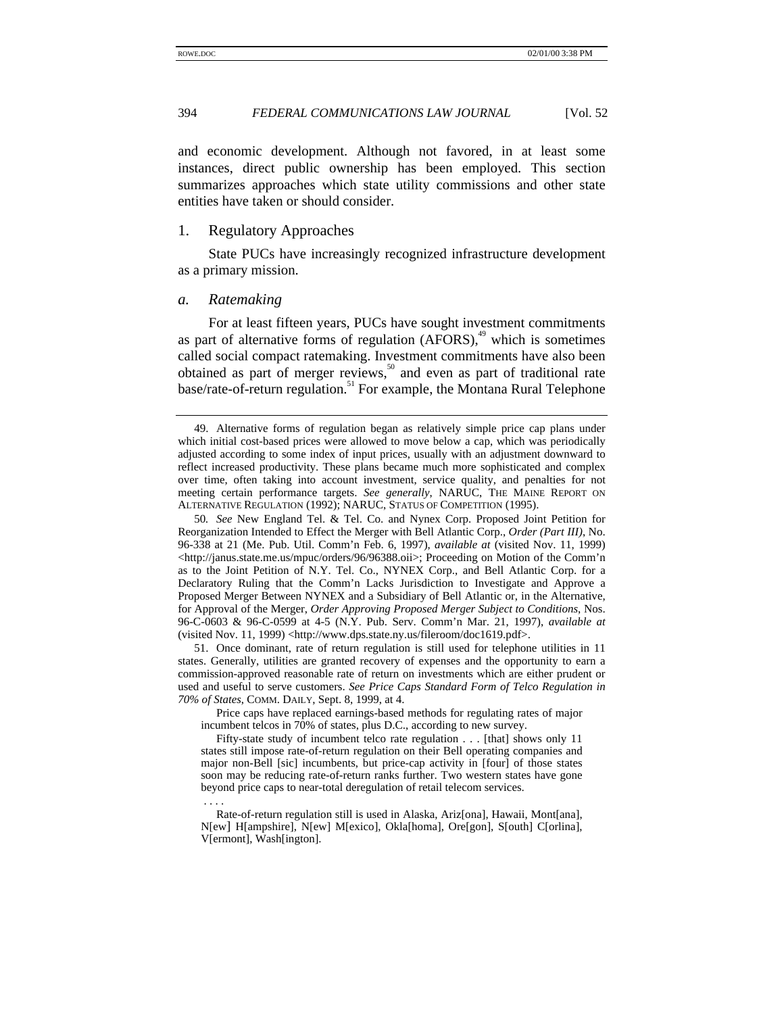and economic development. Although not favored, in at least some instances, direct public ownership has been employed. This section summarizes approaches which state utility commissions and other state entities have taken or should consider.

#### 1. Regulatory Approaches

State PUCs have increasingly recognized infrastructure development as a primary mission.

#### *a. Ratemaking*

For at least fifteen years, PUCs have sought investment commitments as part of alternative forms of regulation  $(AFORS)$ ,<sup>49</sup> which is sometimes called social compact ratemaking. Investment commitments have also been obtained as part of merger reviews,<sup>50</sup> and even as part of traditional rate base/rate-of-return regulation.<sup>51</sup> For example, the Montana Rural Telephone

50*. See* New England Tel. & Tel. Co. and Nynex Corp. Proposed Joint Petition for Reorganization Intended to Effect the Merger with Bell Atlantic Corp., *Order (Part III)*, No. 96-338 at 21 (Me. Pub. Util. Comm'n Feb. 6, 1997), *available at* (visited Nov. 11, 1999) <http://janus.state.me.us/mpuc/orders/96/96388.oii>; Proceeding on Motion of the Comm'n as to the Joint Petition of N.Y. Tel. Co., NYNEX Corp., and Bell Atlantic Corp. for a Declaratory Ruling that the Comm'n Lacks Jurisdiction to Investigate and Approve a Proposed Merger Between NYNEX and a Subsidiary of Bell Atlantic or, in the Alternative, for Approval of the Merger, *Order Approving Proposed Merger Subject to Conditions*, Nos. 96-C-0603 & 96-C-0599 at 4-5 (N.Y. Pub. Serv. Comm'n Mar. 21, 1997), *available at* (visited Nov. 11, 1999) <http://www.dps.state.ny.us/fileroom/doc1619.pdf>.

51. Once dominant, rate of return regulation is still used for telephone utilities in 11 states. Generally, utilities are granted recovery of expenses and the opportunity to earn a commission-approved reasonable rate of return on investments which are either prudent or used and useful to serve customers. *See Price Caps Standard Form of Telco Regulation in 70% of States*, COMM. DAILY, Sept. 8, 1999, at 4.

Price caps have replaced earnings-based methods for regulating rates of major incumbent telcos in 70% of states, plus D.C., according to new survey.

Fifty-state study of incumbent telco rate regulation . . . [that] shows only 11 states still impose rate-of-return regulation on their Bell operating companies and major non-Bell [sic] incumbents, but price-cap activity in [four] of those states soon may be reducing rate-of-return ranks further. Two western states have gone beyond price caps to near-total deregulation of retail telecom services.

 . . . . Rate-of-return regulation still is used in Alaska, Ariz[ona], Hawaii, Mont[ana], N[ew] H[ampshire], N[ew] M[exico], Okla[homa], Ore[gon], S[outh] C[orlina], V[ermont], Wash[ington].

<sup>49.</sup> Alternative forms of regulation began as relatively simple price cap plans under which initial cost-based prices were allowed to move below a cap, which was periodically adjusted according to some index of input prices, usually with an adjustment downward to reflect increased productivity. These plans became much more sophisticated and complex over time, often taking into account investment, service quality, and penalties for not meeting certain performance targets. *See generally*, NARUC, THE MAINE REPORT ON ALTERNATIVE REGULATION (1992); NARUC, STATUS OF COMPETITION (1995).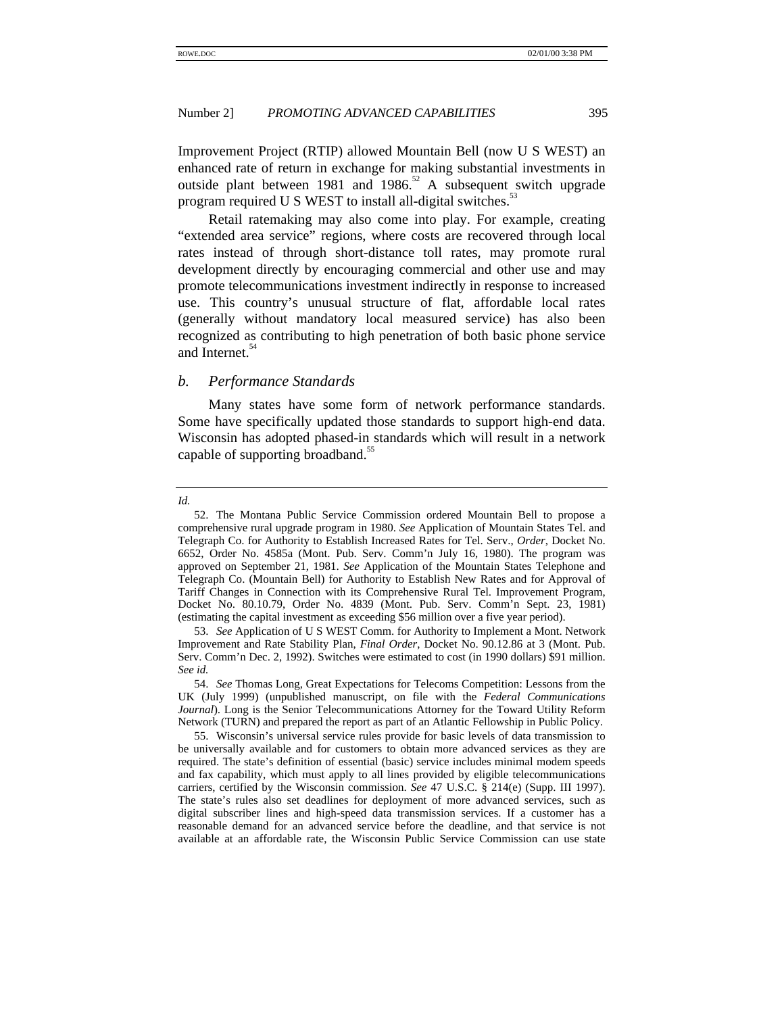Improvement Project (RTIP) allowed Mountain Bell (now U S WEST) an enhanced rate of return in exchange for making substantial investments in outside plant between 1981 and 1986.<sup>52</sup> A subsequent switch upgrade program required U S WEST to install all-digital switches.<sup>53</sup>

Retail ratemaking may also come into play. For example, creating "extended area service" regions, where costs are recovered through local rates instead of through short-distance toll rates, may promote rural development directly by encouraging commercial and other use and may promote telecommunications investment indirectly in response to increased use. This country's unusual structure of flat, affordable local rates (generally without mandatory local measured service) has also been recognized as contributing to high penetration of both basic phone service and Internet.<sup>54</sup>

#### *b. Performance Standards*

Many states have some form of network performance standards. Some have specifically updated those standards to support high-end data. Wisconsin has adopted phased-in standards which will result in a network capable of supporting broadband.<sup>55</sup>

*Id.*

<sup>52.</sup> The Montana Public Service Commission ordered Mountain Bell to propose a comprehensive rural upgrade program in 1980. *See* Application of Mountain States Tel. and Telegraph Co. for Authority to Establish Increased Rates for Tel. Serv., *Order*, Docket No. 6652, Order No. 4585a (Mont. Pub. Serv. Comm'n July 16, 1980). The program was approved on September 21, 1981. *See* Application of the Mountain States Telephone and Telegraph Co. (Mountain Bell) for Authority to Establish New Rates and for Approval of Tariff Changes in Connection with its Comprehensive Rural Tel. Improvement Program, Docket No. 80.10.79, Order No. 4839 (Mont. Pub. Serv. Comm'n Sept. 23, 1981) (estimating the capital investment as exceeding \$56 million over a five year period).

<sup>53.</sup> *See* Application of U S WEST Comm. for Authority to Implement a Mont. Network Improvement and Rate Stability Plan, *Final Order*, Docket No. 90.12.86 at 3 (Mont. Pub. Serv. Comm'n Dec. 2, 1992). Switches were estimated to cost (in 1990 dollars) \$91 million. *See id.*

<sup>54.</sup> *See* Thomas Long, Great Expectations for Telecoms Competition: Lessons from the UK (July 1999) (unpublished manuscript, on file with the *Federal Communications Journal*). Long is the Senior Telecommunications Attorney for the Toward Utility Reform Network (TURN) and prepared the report as part of an Atlantic Fellowship in Public Policy.

<sup>55.</sup> Wisconsin's universal service rules provide for basic levels of data transmission to be universally available and for customers to obtain more advanced services as they are required. The state's definition of essential (basic) service includes minimal modem speeds and fax capability, which must apply to all lines provided by eligible telecommunications carriers, certified by the Wisconsin commission. *See* 47 U.S.C. § 214(e) (Supp. III 1997). The state's rules also set deadlines for deployment of more advanced services, such as digital subscriber lines and high-speed data transmission services. If a customer has a reasonable demand for an advanced service before the deadline, and that service is not available at an affordable rate, the Wisconsin Public Service Commission can use state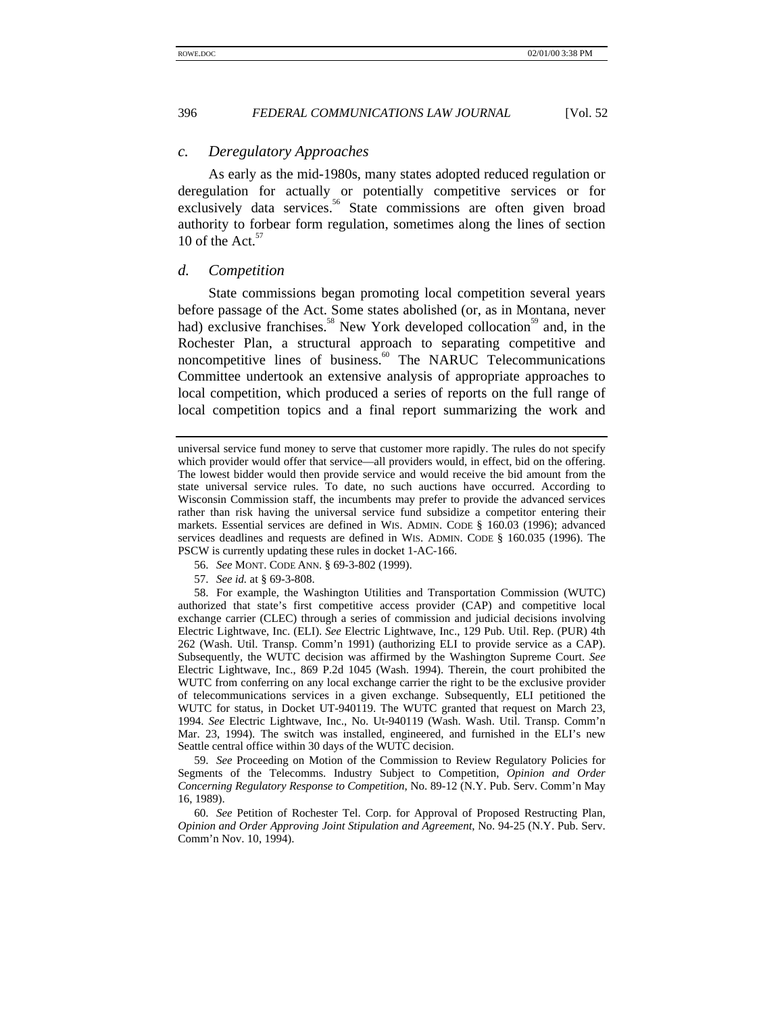#### *c. Deregulatory Approaches*

As early as the mid-1980s, many states adopted reduced regulation or deregulation for actually or potentially competitive services or for exclusively data services.<sup>56</sup> State commissions are often given broad authority to forbear form regulation, sometimes along the lines of section 10 of the Act. $57$ 

#### *d. Competition*

State commissions began promoting local competition several years before passage of the Act. Some states abolished (or, as in Montana, never had) exclusive franchises.<sup>58</sup> New York developed collocation<sup>59</sup> and, in the Rochester Plan, a structural approach to separating competitive and noncompetitive lines of business.<sup>60</sup> The NARUC Telecommunications Committee undertook an extensive analysis of appropriate approaches to local competition, which produced a series of reports on the full range of local competition topics and a final report summarizing the work and

57. *See id.* at § 69-3-808.

58. For example, the Washington Utilities and Transportation Commission (WUTC) authorized that state's first competitive access provider (CAP) and competitive local exchange carrier (CLEC) through a series of commission and judicial decisions involving Electric Lightwave, Inc. (ELI). *See* Electric Lightwave, Inc., 129 Pub. Util. Rep. (PUR) 4th 262 (Wash. Util. Transp. Comm'n 1991) (authorizing ELI to provide service as a CAP). Subsequently, the WUTC decision was affirmed by the Washington Supreme Court. *See* Electric Lightwave, Inc., 869 P.2d 1045 (Wash. 1994). Therein, the court prohibited the WUTC from conferring on any local exchange carrier the right to be the exclusive provider of telecommunications services in a given exchange. Subsequently, ELI petitioned the WUTC for status, in Docket UT-940119. The WUTC granted that request on March 23, 1994. *See* Electric Lightwave, Inc., No. Ut-940119 (Wash. Wash. Util. Transp. Comm'n Mar. 23, 1994). The switch was installed, engineered, and furnished in the ELI's new Seattle central office within 30 days of the WUTC decision.

59. *See* Proceeding on Motion of the Commission to Review Regulatory Policies for Segments of the Telecomms. Industry Subject to Competition, *Opinion and Order Concerning Regulatory Response to Competition*, No. 89-12 (N.Y. Pub. Serv. Comm'n May 16, 1989).

60. *See* Petition of Rochester Tel. Corp. for Approval of Proposed Restructing Plan, *Opinion and Order Approving Joint Stipulation and Agreement*, No. 94-25 (N.Y. Pub. Serv. Comm'n Nov. 10, 1994).

universal service fund money to serve that customer more rapidly. The rules do not specify which provider would offer that service—all providers would, in effect, bid on the offering. The lowest bidder would then provide service and would receive the bid amount from the state universal service rules. To date, no such auctions have occurred. According to Wisconsin Commission staff, the incumbents may prefer to provide the advanced services rather than risk having the universal service fund subsidize a competitor entering their markets. Essential services are defined in WIS. ADMIN. CODE § 160.03 (1996); advanced services deadlines and requests are defined in WIS. ADMIN. CODE § 160.035 (1996). The PSCW is currently updating these rules in docket 1-AC-166.

<sup>56.</sup> *See* MONT. CODE ANN. § 69-3-802 (1999).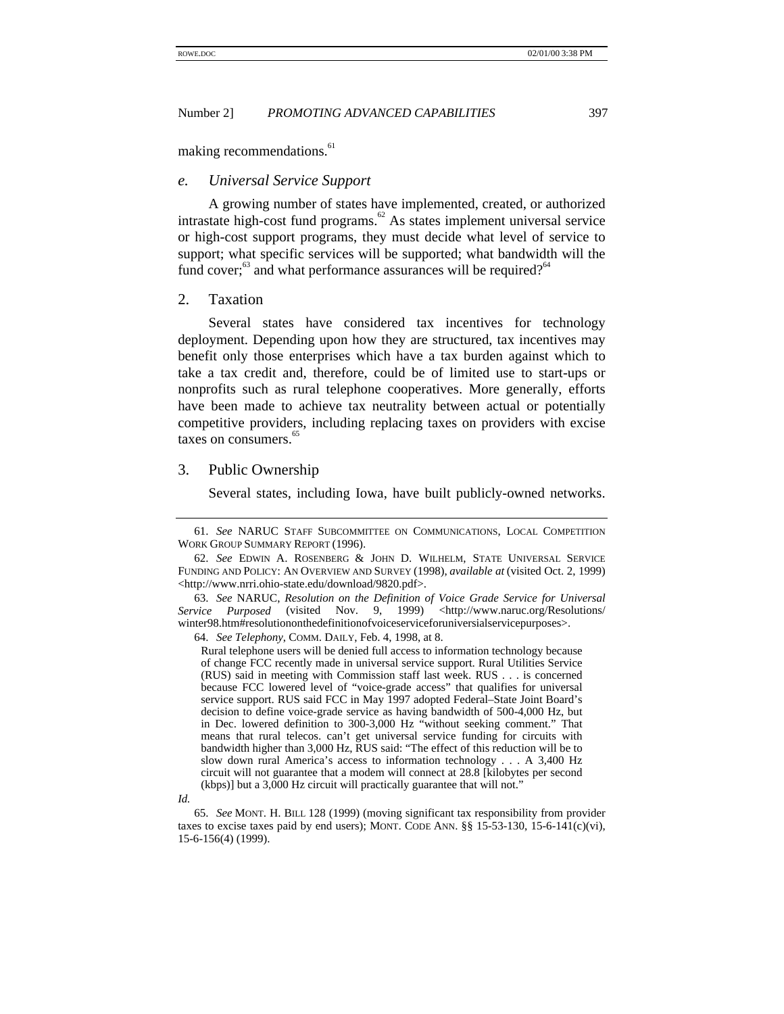making recommendations.<sup>61</sup>

#### *e. Universal Service Support*

A growing number of states have implemented, created, or authorized intrastate high-cost fund programs.<sup>62</sup> As states implement universal service or high-cost support programs, they must decide what level of service to support; what specific services will be supported; what bandwidth will the fund cover; $^{63}$  and what performance assurances will be required?<sup>64</sup>

#### 2. Taxation

Several states have considered tax incentives for technology deployment. Depending upon how they are structured, tax incentives may benefit only those enterprises which have a tax burden against which to take a tax credit and, therefore, could be of limited use to start-ups or nonprofits such as rural telephone cooperatives. More generally, efforts have been made to achieve tax neutrality between actual or potentially competitive providers, including replacing taxes on providers with excise taxes on consumers.<sup>6</sup>

#### 3. Public Ownership

Several states, including Iowa, have built publicly-owned networks.

63. *See* NARUC, *Resolution on the Definition of Voice Grade Service for Universal Service Purposed* (visited Nov. 9, 1999) <http://www.naruc.org/Resolutions/ winter98.htm#resolutiononthedefinitionofvoiceserviceforuniversialservicepurposes>.

64. *See Telephony*, COMM. DAILY, Feb. 4, 1998, at 8.

Rural telephone users will be denied full access to information technology because of change FCC recently made in universal service support. Rural Utilities Service (RUS) said in meeting with Commission staff last week. RUS . . . is concerned because FCC lowered level of "voice-grade access" that qualifies for universal service support. RUS said FCC in May 1997 adopted Federal–State Joint Board's decision to define voice-grade service as having bandwidth of 500-4,000 Hz, but in Dec. lowered definition to 300-3,000 Hz "without seeking comment." That means that rural telecos. can't get universal service funding for circuits with bandwidth higher than 3,000 Hz, RUS said: "The effect of this reduction will be to slow down rural America's access to information technology . . . A 3,400 Hz circuit will not guarantee that a modem will connect at 28.8 [kilobytes per second (kbps)] but a 3,000 Hz circuit will practically guarantee that will not."

65. *See* MONT. H. BILL 128 (1999) (moving significant tax responsibility from provider taxes to excise taxes paid by end users); MONT. CODE ANN.  $\S$ § 15-53-130, 15-6-141(c)(vi), 15-6-156(4) (1999).

<sup>61.</sup> *See* NARUC STAFF SUBCOMMITTEE ON COMMUNICATIONS, LOCAL COMPETITION WORK GROUP SUMMARY REPORT (1996).

<sup>62.</sup> *See* EDWIN A. ROSENBERG & JOHN D. WILHELM, STATE UNIVERSAL SERVICE FUNDING AND POLICY: AN OVERVIEW AND SURVEY (1998), *available at* (visited Oct. 2, 1999) <http://www.nrri.ohio-state.edu/download/9820.pdf>.

*Id.*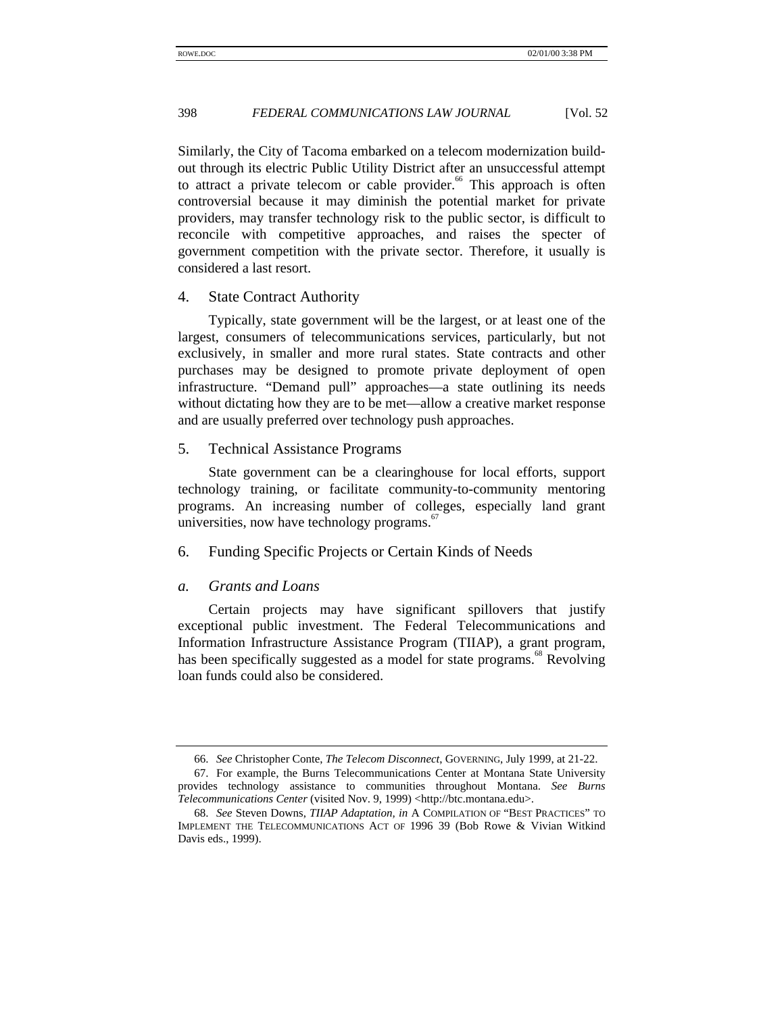Similarly, the City of Tacoma embarked on a telecom modernization buildout through its electric Public Utility District after an unsuccessful attempt to attract a private telecom or cable provider.<sup>66</sup> This approach is often controversial because it may diminish the potential market for private providers, may transfer technology risk to the public sector, is difficult to reconcile with competitive approaches, and raises the specter of government competition with the private sector. Therefore, it usually is considered a last resort.

#### 4. State Contract Authority

Typically, state government will be the largest, or at least one of the largest, consumers of telecommunications services, particularly, but not exclusively, in smaller and more rural states. State contracts and other purchases may be designed to promote private deployment of open infrastructure. "Demand pull" approaches—a state outlining its needs without dictating how they are to be met—allow a creative market response and are usually preferred over technology push approaches.

# 5. Technical Assistance Programs

State government can be a clearinghouse for local efforts, support technology training, or facilitate community-to-community mentoring programs. An increasing number of colleges, especially land grant universities, now have technology programs. $67$ 

### 6. Funding Specific Projects or Certain Kinds of Needs

#### *a. Grants and Loans*

Certain projects may have significant spillovers that justify exceptional public investment. The Federal Telecommunications and Information Infrastructure Assistance Program (TIIAP), a grant program, has been specifically suggested as a model for state programs.<sup>68</sup> Revolving loan funds could also be considered.

<sup>66.</sup> *See* Christopher Conte, *The Telecom Disconnect*, GOVERNING, July 1999, at 21-22.

<sup>67.</sup> For example, the Burns Telecommunications Center at Montana State University provides technology assistance to communities throughout Montana. *See Burns Telecommunications Center* (visited Nov. 9, 1999) <http://btc.montana.edu>.

<sup>68.</sup> *See* Steven Downs, *TIIAP Adaptation, in* A COMPILATION OF "BEST PRACTICES" TO IMPLEMENT THE TELECOMMUNICATIONS ACT OF 1996 39 (Bob Rowe & Vivian Witkind Davis eds., 1999).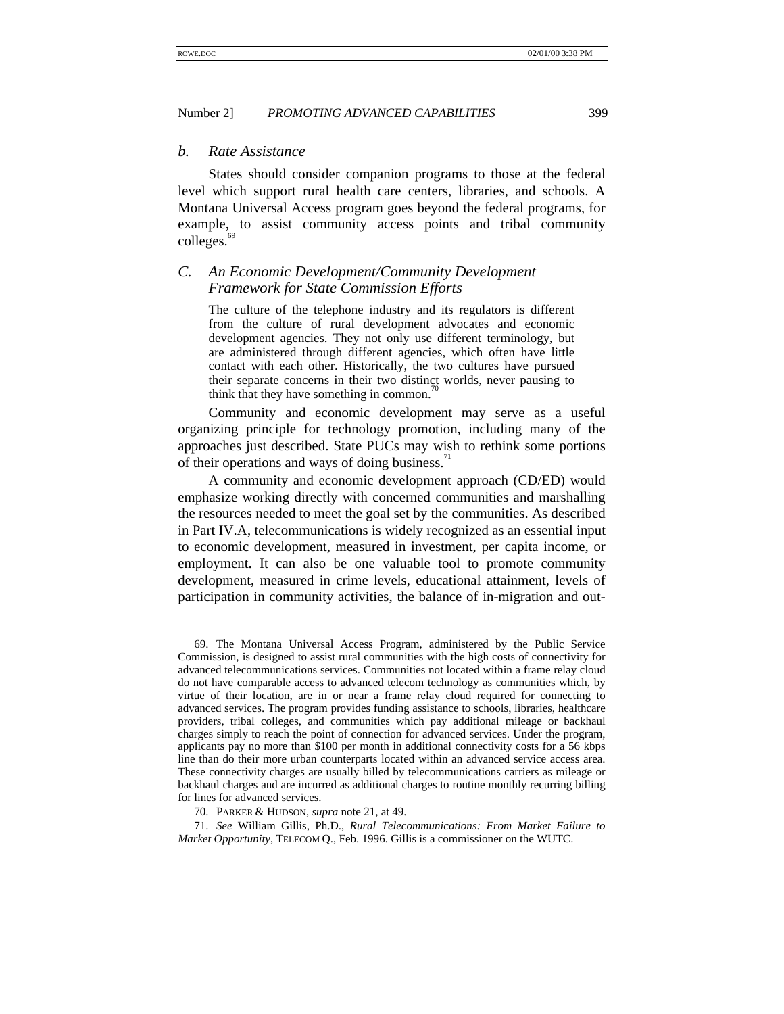#### *b. Rate Assistance*

States should consider companion programs to those at the federal level which support rural health care centers, libraries, and schools. A Montana Universal Access program goes beyond the federal programs, for example, to assist community access points and tribal community colleges.<sup>6</sup>

# *C. An Economic Development/Community Development Framework for State Commission Efforts*

The culture of the telephone industry and its regulators is different from the culture of rural development advocates and economic development agencies. They not only use different terminology, but are administered through different agencies, which often have little contact with each other. Historically, the two cultures have pursued their separate concerns in their two distinct worlds, never pausing to think that they have something in common.

Community and economic development may serve as a useful organizing principle for technology promotion, including many of the approaches just described. State PUCs may wish to rethink some portions of their operations and ways of doing business.<sup>71</sup>

A community and economic development approach (CD/ED) would emphasize working directly with concerned communities and marshalling the resources needed to meet the goal set by the communities. As described in Part IV.A, telecommunications is widely recognized as an essential input to economic development, measured in investment, per capita income, or employment. It can also be one valuable tool to promote community development, measured in crime levels, educational attainment, levels of participation in community activities, the balance of in-migration and out-

<sup>69.</sup> The Montana Universal Access Program, administered by the Public Service Commission, is designed to assist rural communities with the high costs of connectivity for advanced telecommunications services. Communities not located within a frame relay cloud do not have comparable access to advanced telecom technology as communities which, by virtue of their location, are in or near a frame relay cloud required for connecting to advanced services. The program provides funding assistance to schools, libraries, healthcare providers, tribal colleges, and communities which pay additional mileage or backhaul charges simply to reach the point of connection for advanced services. Under the program, applicants pay no more than \$100 per month in additional connectivity costs for a 56 kbps line than do their more urban counterparts located within an advanced service access area. These connectivity charges are usually billed by telecommunications carriers as mileage or backhaul charges and are incurred as additional charges to routine monthly recurring billing for lines for advanced services.

<sup>70.</sup> PARKER & HUDSON, *supra* note 21, at 49.

<sup>71.</sup> *See* William Gillis, Ph.D., *Rural Telecommunications: From Market Failure to Market Opportunity*, TELECOM Q., Feb. 1996. Gillis is a commissioner on the WUTC.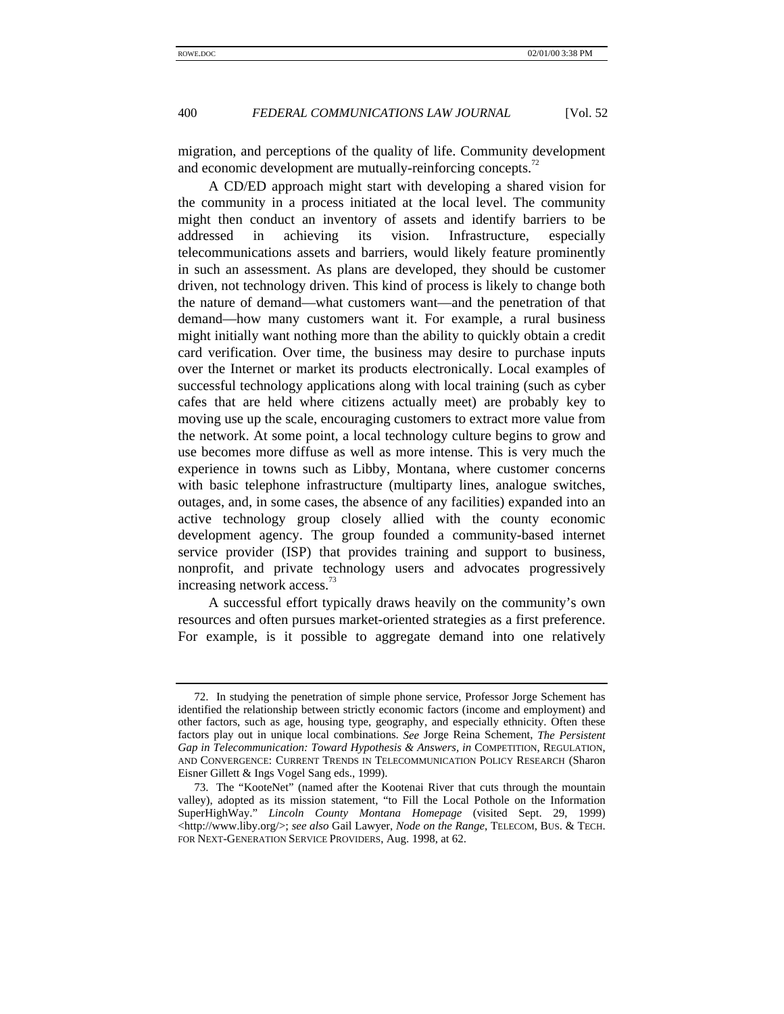migration, and perceptions of the quality of life. Community development and economic development are mutually-reinforcing concepts.<sup>72</sup>

A CD/ED approach might start with developing a shared vision for the community in a process initiated at the local level. The community might then conduct an inventory of assets and identify barriers to be addressed in achieving its vision. Infrastructure, especially telecommunications assets and barriers, would likely feature prominently in such an assessment. As plans are developed, they should be customer driven, not technology driven. This kind of process is likely to change both the nature of demand—what customers want—and the penetration of that demand—how many customers want it. For example, a rural business might initially want nothing more than the ability to quickly obtain a credit card verification. Over time, the business may desire to purchase inputs over the Internet or market its products electronically. Local examples of successful technology applications along with local training (such as cyber cafes that are held where citizens actually meet) are probably key to moving use up the scale, encouraging customers to extract more value from the network. At some point, a local technology culture begins to grow and use becomes more diffuse as well as more intense. This is very much the experience in towns such as Libby, Montana, where customer concerns with basic telephone infrastructure (multiparty lines, analogue switches, outages, and, in some cases, the absence of any facilities) expanded into an active technology group closely allied with the county economic development agency. The group founded a community-based internet service provider (ISP) that provides training and support to business, nonprofit, and private technology users and advocates progressively increasing network access.<sup>73</sup>

A successful effort typically draws heavily on the community's own resources and often pursues market-oriented strategies as a first preference. For example, is it possible to aggregate demand into one relatively

<sup>72.</sup> In studying the penetration of simple phone service, Professor Jorge Schement has identified the relationship between strictly economic factors (income and employment) and other factors, such as age, housing type, geography, and especially ethnicity. Often these factors play out in unique local combinations. *See* Jorge Reina Schement, *The Persistent Gap in Telecommunication: Toward Hypothesis & Answers, in* COMPETITION, REGULATION, AND CONVERGENCE: CURRENT TRENDS IN TELECOMMUNICATION POLICY RESEARCH (Sharon Eisner Gillett & Ings Vogel Sang eds., 1999).

<sup>73.</sup> The "KooteNet" (named after the Kootenai River that cuts through the mountain valley), adopted as its mission statement, "to Fill the Local Pothole on the Information SuperHighWay." *Lincoln County Montana Homepage* (visited Sept. 29, 1999) <http://www.liby.org/>; *see also* Gail Lawyer, *Node on the Range*, TELECOM, BUS. & TECH. FOR NEXT-GENERATION SERVICE PROVIDERS, Aug. 1998, at 62.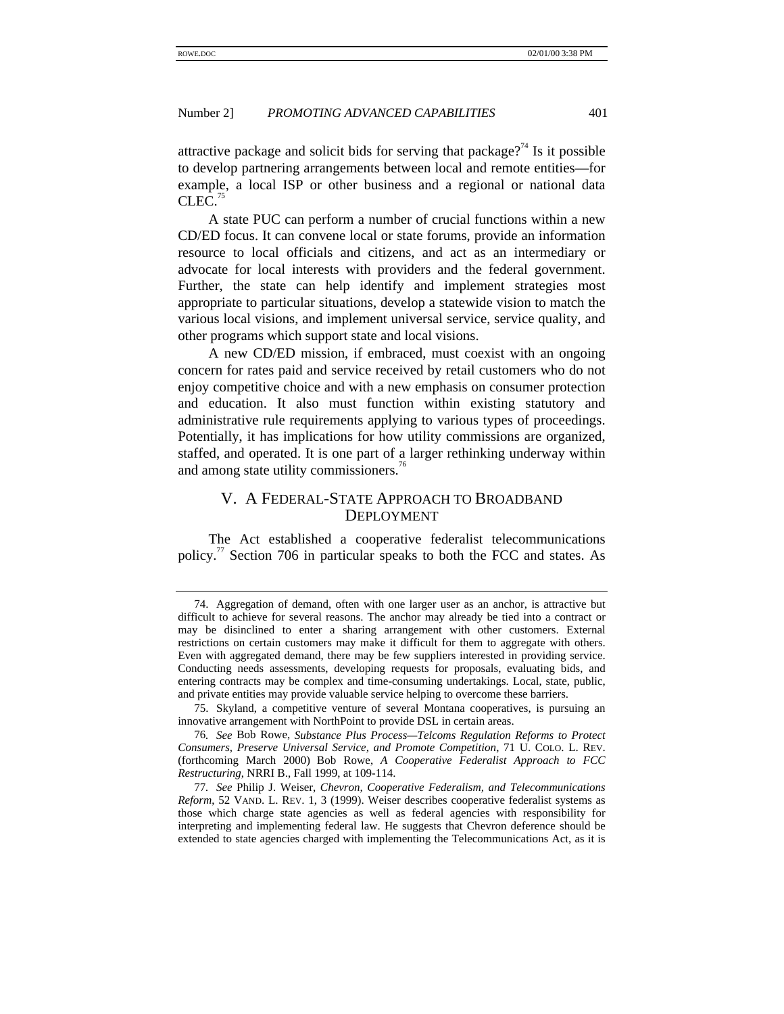attractive package and solicit bids for serving that package?<sup>74</sup> Is it possible to develop partnering arrangements between local and remote entities—for example, a local ISP or other business and a regional or national data  $CLEC.<sup>75</sup>$ 

A state PUC can perform a number of crucial functions within a new CD/ED focus. It can convene local or state forums, provide an information resource to local officials and citizens, and act as an intermediary or advocate for local interests with providers and the federal government. Further, the state can help identify and implement strategies most appropriate to particular situations, develop a statewide vision to match the various local visions, and implement universal service, service quality, and other programs which support state and local visions.

A new CD/ED mission, if embraced, must coexist with an ongoing concern for rates paid and service received by retail customers who do not enjoy competitive choice and with a new emphasis on consumer protection and education. It also must function within existing statutory and administrative rule requirements applying to various types of proceedings. Potentially, it has implications for how utility commissions are organized, staffed, and operated. It is one part of a larger rethinking underway within and among state utility commissioners.<sup>76</sup>

# V. A FEDERAL-STATE APPROACH TO BROADBAND DEPLOYMENT

The Act established a cooperative federalist telecommunications policy.<sup>77</sup> Section 706 in particular speaks to both the FCC and states. As

<sup>74.</sup> Aggregation of demand, often with one larger user as an anchor, is attractive but difficult to achieve for several reasons. The anchor may already be tied into a contract or may be disinclined to enter a sharing arrangement with other customers. External restrictions on certain customers may make it difficult for them to aggregate with others. Even with aggregated demand, there may be few suppliers interested in providing service. Conducting needs assessments, developing requests for proposals, evaluating bids, and entering contracts may be complex and time-consuming undertakings. Local, state, public, and private entities may provide valuable service helping to overcome these barriers.

<sup>75.</sup> Skyland, a competitive venture of several Montana cooperatives, is pursuing an innovative arrangement with NorthPoint to provide DSL in certain areas.

<sup>76</sup>*. See* Bob Rowe, *Substance Plus Process—Telcoms Regulation Reforms to Protect Consumers, Preserve Universal Service, and Promote Competition*, 71 U. COLO. L. REV. (forthcoming March 2000) Bob Rowe, *A Cooperative Federalist Approach to FCC Restructuring*, NRRI B., Fall 1999, at 109-114.

<sup>77</sup>*. See* Philip J. Weiser, *Chevron, Cooperative Federalism, and Telecommunications Reform*, 52 VAND. L. REV. 1, 3 (1999). Weiser describes cooperative federalist systems as those which charge state agencies as well as federal agencies with responsibility for interpreting and implementing federal law. He suggests that Chevron deference should be extended to state agencies charged with implementing the Telecommunications Act, as it is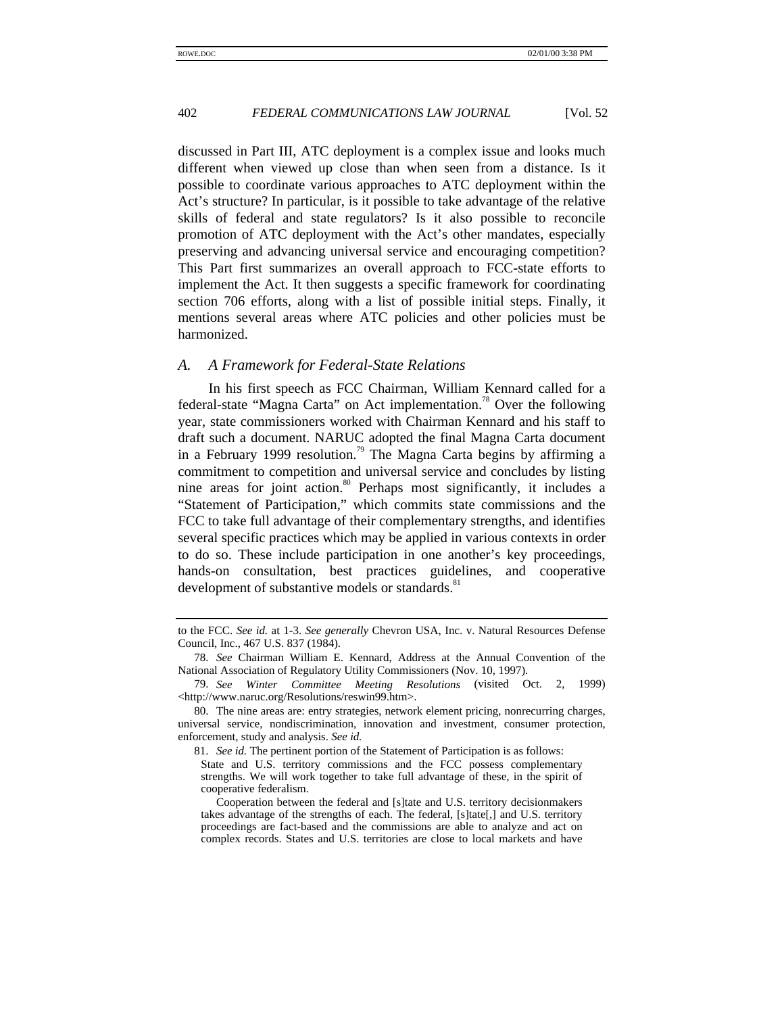discussed in Part III, ATC deployment is a complex issue and looks much different when viewed up close than when seen from a distance. Is it possible to coordinate various approaches to ATC deployment within the Act's structure? In particular, is it possible to take advantage of the relative skills of federal and state regulators? Is it also possible to reconcile promotion of ATC deployment with the Act's other mandates, especially preserving and advancing universal service and encouraging competition? This Part first summarizes an overall approach to FCC-state efforts to implement the Act. It then suggests a specific framework for coordinating section 706 efforts, along with a list of possible initial steps. Finally, it mentions several areas where ATC policies and other policies must be harmonized.

#### *A. A Framework for Federal-State Relations*

In his first speech as FCC Chairman, William Kennard called for a federal-state "Magna Carta" on Act implementation.<sup>78</sup> Over the following year, state commissioners worked with Chairman Kennard and his staff to draft such a document. NARUC adopted the final Magna Carta document in a February 1999 resolution.<sup>79</sup> The Magna Carta begins by affirming a commitment to competition and universal service and concludes by listing nine areas for joint action.<sup>80</sup> Perhaps most significantly, it includes a "Statement of Participation," which commits state commissions and the FCC to take full advantage of their complementary strengths, and identifies several specific practices which may be applied in various contexts in order to do so. These include participation in one another's key proceedings, hands-on consultation, best practices guidelines, and cooperative development of substantive models or standards.<sup>81</sup>

to the FCC. *See id.* at 1-3. *See generally* Chevron USA, Inc. v. Natural Resources Defense Council, Inc., 467 U.S. 837 (1984).

<sup>78.</sup> *See* Chairman William E. Kennard, Address at the Annual Convention of the National Association of Regulatory Utility Commissioners (Nov. 10, 1997).

<sup>79.</sup> *See Winter Committee Meeting Resolutions* (visited Oct. 2, 1999) <http://www.naruc.org/Resolutions/reswin99.htm>.

<sup>80.</sup> The nine areas are: entry strategies, network element pricing, nonrecurring charges, universal service, nondiscrimination, innovation and investment, consumer protection, enforcement, study and analysis. *See id.*

<sup>81.</sup> *See id.* The pertinent portion of the Statement of Participation is as follows: State and U.S. territory commissions and the FCC possess complementary strengths. We will work together to take full advantage of these, in the spirit of cooperative federalism.

Cooperation between the federal and [s]tate and U.S. territory decisionmakers takes advantage of the strengths of each. The federal, [s]tate[,] and U.S. territory proceedings are fact-based and the commissions are able to analyze and act on complex records. States and U.S. territories are close to local markets and have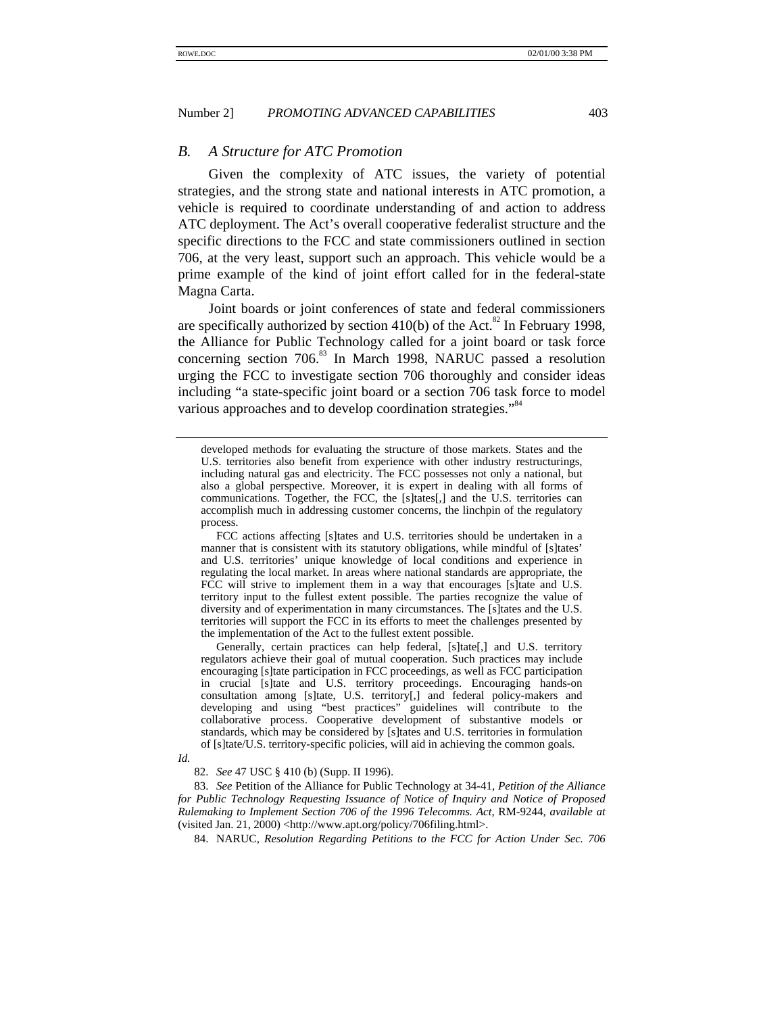#### *B. A Structure for ATC Promotion*

Given the complexity of ATC issues, the variety of potential strategies, and the strong state and national interests in ATC promotion, a vehicle is required to coordinate understanding of and action to address ATC deployment. The Act's overall cooperative federalist structure and the specific directions to the FCC and state commissioners outlined in section 706, at the very least, support such an approach. This vehicle would be a prime example of the kind of joint effort called for in the federal-state Magna Carta.

Joint boards or joint conferences of state and federal commissioners are specifically authorized by section  $410(b)$  of the Act.<sup>82</sup> In February 1998, the Alliance for Public Technology called for a joint board or task force concerning section  $706$ <sup>33</sup> In March 1998, NARUC passed a resolution urging the FCC to investigate section 706 thoroughly and consider ideas including "a state-specific joint board or a section 706 task force to model various approaches and to develop coordination strategies."<sup>84</sup>

Generally, certain practices can help federal, [s]tate[,] and U.S. territory regulators achieve their goal of mutual cooperation. Such practices may include encouraging [s]tate participation in FCC proceedings, as well as FCC participation in crucial [s]tate and U.S. territory proceedings. Encouraging hands-on consultation among [s]tate, U.S. territory[,] and federal policy-makers and developing and using "best practices" guidelines will contribute to the collaborative process. Cooperative development of substantive models or standards, which may be considered by [s]tates and U.S. territories in formulation of [s]tate/U.S. territory-specific policies, will aid in achieving the common goals.

82. *See* 47 USC § 410 (b) (Supp. II 1996).

83. *See* Petition of the Alliance for Public Technology at 34-41, *Petition of the Alliance for Public Technology Requesting Issuance of Notice of Inquiry and Notice of Proposed Rulemaking to Implement Section 706 of the 1996 Telecomms. Act*, RM-9244, *available at* (visited Jan. 21, 2000) <http://www.apt.org/policy/706filing.html>.

84. NARUC, *Resolution Regarding Petitions to the FCC for Action Under Sec. 706*

developed methods for evaluating the structure of those markets. States and the U.S. territories also benefit from experience with other industry restructurings, including natural gas and electricity. The FCC possesses not only a national, but also a global perspective. Moreover, it is expert in dealing with all forms of communications. Together, the FCC, the [s]tates[,] and the U.S. territories can accomplish much in addressing customer concerns, the linchpin of the regulatory process.

FCC actions affecting [s]tates and U.S. territories should be undertaken in a manner that is consistent with its statutory obligations, while mindful of [s]tates' and U.S. territories' unique knowledge of local conditions and experience in regulating the local market. In areas where national standards are appropriate, the FCC will strive to implement them in a way that encourages [s]tate and U.S. territory input to the fullest extent possible. The parties recognize the value of diversity and of experimentation in many circumstances. The [s]tates and the U.S. territories will support the FCC in its efforts to meet the challenges presented by the implementation of the Act to the fullest extent possible.

*Id.*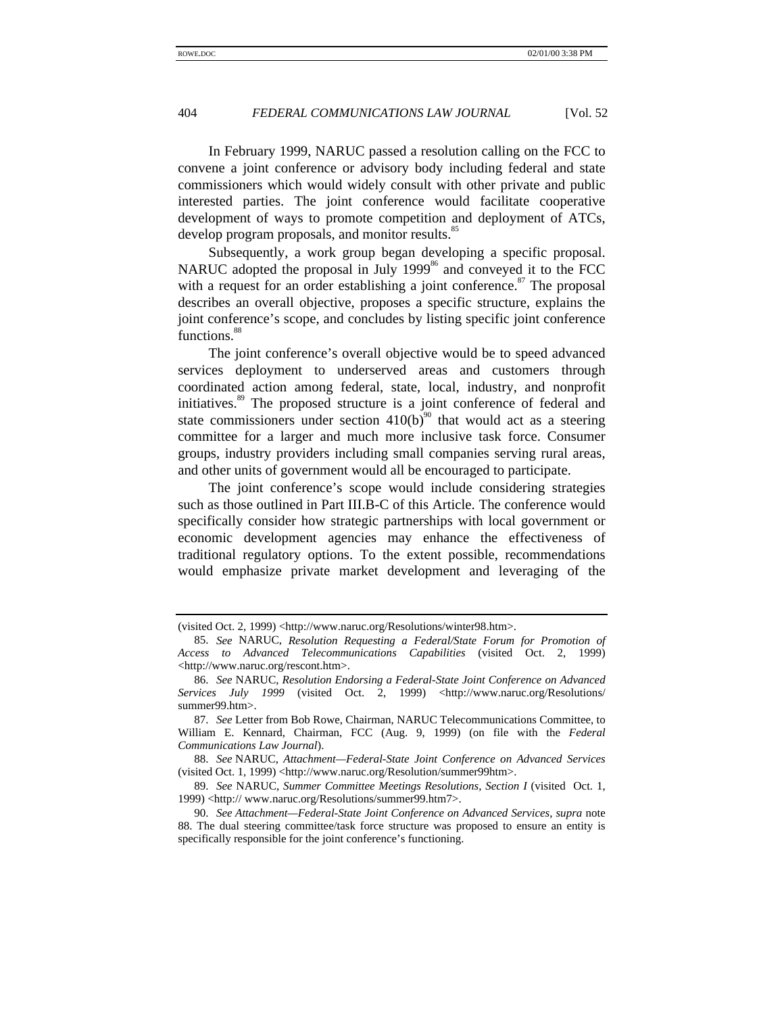In February 1999, NARUC passed a resolution calling on the FCC to convene a joint conference or advisory body including federal and state commissioners which would widely consult with other private and public interested parties. The joint conference would facilitate cooperative development of ways to promote competition and deployment of ATCs, develop program proposals, and monitor results.<sup>85</sup>

Subsequently, a work group began developing a specific proposal. NARUC adopted the proposal in July  $1999<sup>86</sup>$  and conveyed it to the FCC with a request for an order establishing a joint conference. $87$  The proposal describes an overall objective, proposes a specific structure, explains the joint conference's scope, and concludes by listing specific joint conference functions.<sup>88</sup>

The joint conference's overall objective would be to speed advanced services deployment to underserved areas and customers through coordinated action among federal, state, local, industry, and nonprofit initiatives.<sup>89</sup> The proposed structure is a joint conference of federal and state commissioners under section  $410(b)^{90}$  that would act as a steering committee for a larger and much more inclusive task force. Consumer groups, industry providers including small companies serving rural areas, and other units of government would all be encouraged to participate.

The joint conference's scope would include considering strategies such as those outlined in Part III.B-C of this Article. The conference would specifically consider how strategic partnerships with local government or economic development agencies may enhance the effectiveness of traditional regulatory options. To the extent possible, recommendations would emphasize private market development and leveraging of the

<sup>(</sup>visited Oct. 2, 1999) <http://www.naruc.org/Resolutions/winter98.htm>.

<sup>85.</sup> *See* NARUC, *Resolution Requesting a Federal/State Forum for Promotion of Access to Advanced Telecommunications Capabilities* (visited Oct. 2, 1999) <http://www.naruc.org/rescont.htm>.

<sup>86.</sup> *See* NARUC, *Resolution Endorsing a Federal-State Joint Conference on Advanced Services July 1999* (visited Oct. 2, 1999) <http://www.naruc.org/Resolutions/ summer99.htm>.

<sup>87.</sup> *See* Letter from Bob Rowe, Chairman, NARUC Telecommunications Committee, to William E. Kennard, Chairman, FCC (Aug. 9, 1999) (on file with the *Federal Communications Law Journal*).

<sup>88.</sup> *See* NARUC, *Attachment—Federal-State Joint Conference on Advanced Services* (visited Oct. 1, 1999) <http://www.naruc.org/Resolution/summer99htm>.

<sup>89.</sup> *See* NARUC, *Summer Committee Meetings Resolutions, Section I* (visited Oct. 1, 1999) <http:// www.naruc.org/Resolutions/summer99.htm7>.

<sup>90.</sup> *See Attachment—Federal-State Joint Conference on Advanced Services*, *supra* note 88. The dual steering committee/task force structure was proposed to ensure an entity is specifically responsible for the joint conference's functioning.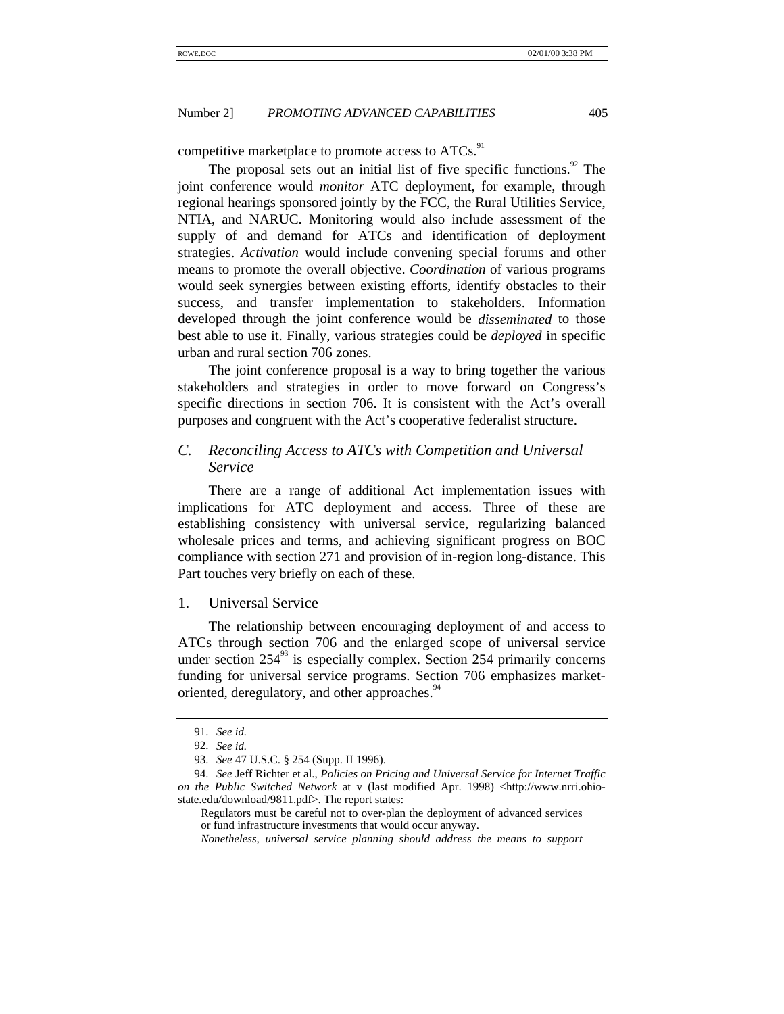competitive marketplace to promote access to ATCs.<sup>91</sup>

The proposal sets out an initial list of five specific functions. $92$  The joint conference would *monitor* ATC deployment, for example, through regional hearings sponsored jointly by the FCC, the Rural Utilities Service, NTIA, and NARUC. Monitoring would also include assessment of the supply of and demand for ATCs and identification of deployment strategies. *Activation* would include convening special forums and other means to promote the overall objective. *Coordination* of various programs would seek synergies between existing efforts, identify obstacles to their success, and transfer implementation to stakeholders. Information developed through the joint conference would be *disseminated* to those best able to use it. Finally, various strategies could be *deployed* in specific urban and rural section 706 zones.

The joint conference proposal is a way to bring together the various stakeholders and strategies in order to move forward on Congress's specific directions in section 706. It is consistent with the Act's overall purposes and congruent with the Act's cooperative federalist structure.

# *C. Reconciling Access to ATCs with Competition and Universal Service*

There are a range of additional Act implementation issues with implications for ATC deployment and access. Three of these are establishing consistency with universal service, regularizing balanced wholesale prices and terms, and achieving significant progress on BOC compliance with section 271 and provision of in-region long-distance. This Part touches very briefly on each of these.

#### 1. Universal Service

The relationship between encouraging deployment of and access to ATCs through section 706 and the enlarged scope of universal service under section  $254^{\frac{93}{}}$  is especially complex. Section 254 primarily concerns funding for universal service programs. Section 706 emphasizes marketoriented, deregulatory, and other approaches.<sup>34</sup>

<sup>91.</sup> *See id.*

<sup>92.</sup> *See id.*

<sup>93.</sup> *See* 47 U.S.C. § 254 (Supp. II 1996).

<sup>94.</sup> *See* Jeff Richter et al., *Policies on Pricing and Universal Service for Internet Traffic on the Public Switched Network* at v (last modified Apr. 1998) <http://www.nrri.ohiostate.edu/download/9811.pdf>. The report states:

Regulators must be careful not to over-plan the deployment of advanced services or fund infrastructure investments that would occur anyway.

*Nonetheless, universal service planning should address the means to support*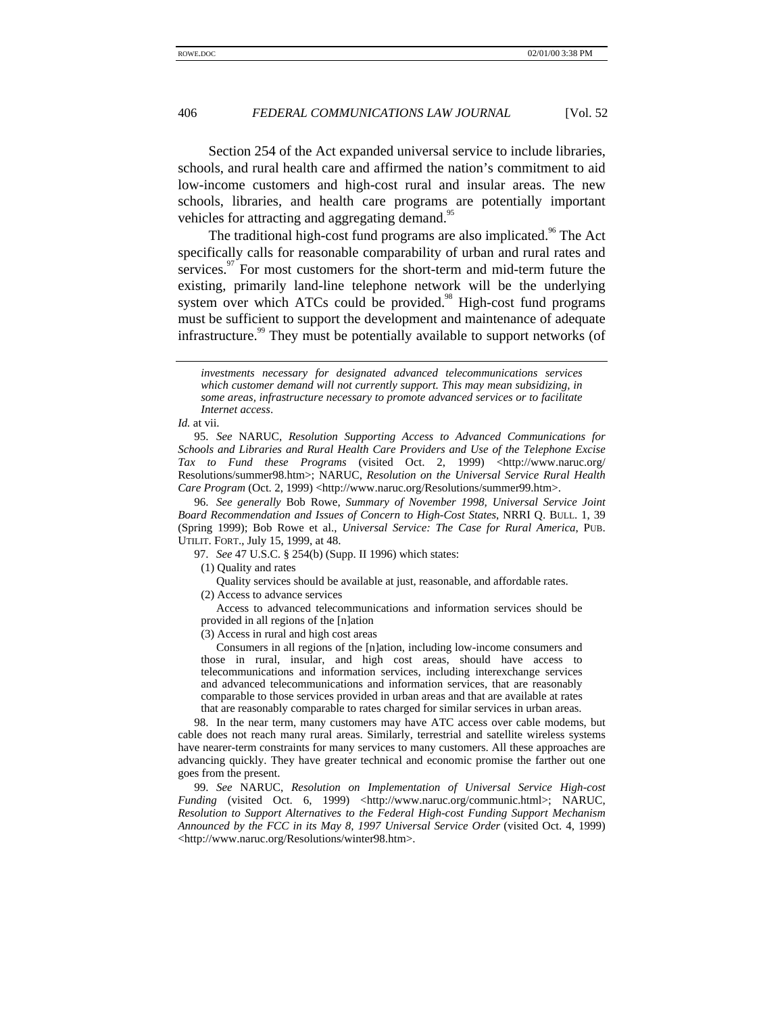Section 254 of the Act expanded universal service to include libraries, schools, and rural health care and affirmed the nation's commitment to aid low-income customers and high-cost rural and insular areas. The new schools, libraries, and health care programs are potentially important vehicles for attracting and aggregating demand.<sup>95</sup>

The traditional high-cost fund programs are also implicated.<sup>96</sup> The Act specifically calls for reasonable comparability of urban and rural rates and services. $\frac{97}{7}$  For most customers for the short-term and mid-term future the existing, primarily land-line telephone network will be the underlying system over which ATCs could be provided.<sup>98</sup> High-cost fund programs must be sufficient to support the development and maintenance of adequate infrastructure.<sup>99</sup> They must be potentially available to support networks (of

95. *See* NARUC, *Resolution Supporting Access to Advanced Communications for Schools and Libraries and Rural Health Care Providers and Use of the Telephone Excise Tax to Fund these Programs* (visited Oct. 2, 1999) <http://www.naruc.org/ Resolutions/summer98.htm>; NARUC, *Resolution on the Universal Service Rural Health Care Program* (Oct. 2, 1999) <http://www.naruc.org/Resolutions/summer99.htm>.

96. *See generally* Bob Rowe, *Summary of November 1998, Universal Service Joint Board Recommendation and Issues of Concern to High-Cost States*, NRRI Q. BULL. 1, 39 (Spring 1999); Bob Rowe et al., *Universal Service: The Case for Rural America*, PUB. UTILIT. FORT., July 15, 1999, at 48.

97. *See* 47 U.S.C. § 254(b) (Supp. II 1996) which states:

(1) Quality and rates

Quality services should be available at just, reasonable, and affordable rates.

(2) Access to advance services

Access to advanced telecommunications and information services should be provided in all regions of the [n]ation

(3) Access in rural and high cost areas

Consumers in all regions of the [n]ation, including low-income consumers and those in rural, insular, and high cost areas, should have access to telecommunications and information services, including interexchange services and advanced telecommunications and information services, that are reasonably comparable to those services provided in urban areas and that are available at rates that are reasonably comparable to rates charged for similar services in urban areas.

98. In the near term, many customers may have ATC access over cable modems, but cable does not reach many rural areas. Similarly, terrestrial and satellite wireless systems have nearer-term constraints for many services to many customers. All these approaches are advancing quickly. They have greater technical and economic promise the farther out one goes from the present.

99. *See* NARUC, *Resolution on Implementation of Universal Service High-cost Funding* (visited Oct. 6, 1999) <http://www.naruc.org/communic.html>; NARUC, *Resolution to Support Alternatives to the Federal High-cost Funding Support Mechanism Announced by the FCC in its May 8, 1997 Universal Service Order* (visited Oct. 4, 1999) <http://www.naruc.org/Resolutions/winter98.htm>.

*investments necessary for designated advanced telecommunications services which customer demand will not currently support. This may mean subsidizing, in some areas, infrastructure necessary to promote advanced services or to facilitate Internet access*.

*Id.* at vii.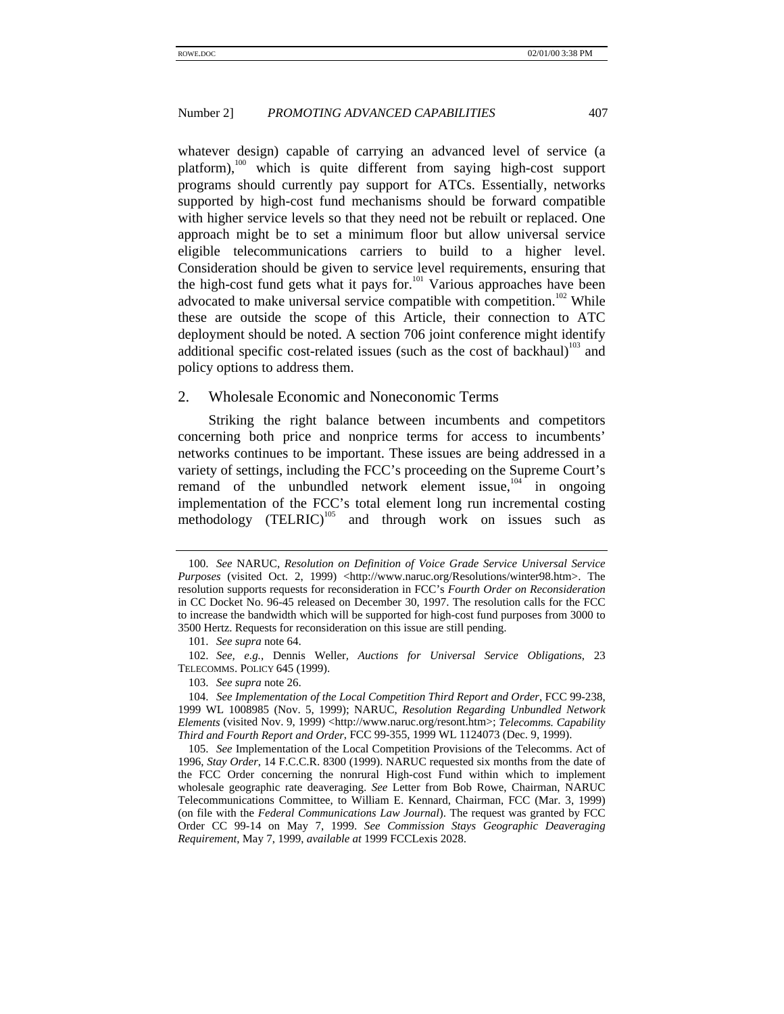whatever design) capable of carrying an advanced level of service (a platform),<sup>100</sup> which is quite different from saying high-cost support programs should currently pay support for ATCs. Essentially, networks supported by high-cost fund mechanisms should be forward compatible with higher service levels so that they need not be rebuilt or replaced. One approach might be to set a minimum floor but allow universal service eligible telecommunications carriers to build to a higher level. Consideration should be given to service level requirements, ensuring that the high-cost fund gets what it pays for.<sup>101</sup> Various approaches have been advocated to make universal service compatible with competition.<sup>102</sup> While these are outside the scope of this Article, their connection to ATC deployment should be noted. A section 706 joint conference might identify additional specific cost-related issues (such as the cost of backhaul)<sup>103</sup> and policy options to address them.

#### 2. Wholesale Economic and Noneconomic Terms

Striking the right balance between incumbents and competitors concerning both price and nonprice terms for access to incumbents' networks continues to be important. These issues are being addressed in a variety of settings, including the FCC's proceeding on the Supreme Court's remand of the unbundled network element issue, $104$  in ongoing implementation of the FCC's total element long run incremental costing methodology (TELRIC)<sup>105</sup> and through work on issues such as

<sup>100.</sup> *See* NARUC, *Resolution on Definition of Voice Grade Service Universal Service Purposes* (visited Oct. 2, 1999) <http://www.naruc.org/Resolutions/winter98.htm>. The resolution supports requests for reconsideration in FCC's *Fourth Order on Reconsideration* in CC Docket No. 96-45 released on December 30, 1997. The resolution calls for the FCC to increase the bandwidth which will be supported for high-cost fund purposes from 3000 to 3500 Hertz. Requests for reconsideration on this issue are still pending.

<sup>101.</sup> *See supra* note 64.

<sup>102.</sup> *See, e.g.*, Dennis Weller*, Auctions for Universal Service Obligations*, 23 TELECOMMS. POLICY 645 (1999).

<sup>103.</sup> *See supra* note 26.

<sup>104.</sup> *See Implementation of the Local Competition Third Report and Order*, FCC 99-238, 1999 WL 1008985 (Nov. 5, 1999); NARUC, *Resolution Regarding Unbundled Network Elements* (visited Nov. 9, 1999) <http://www.naruc.org/resont.htm>; *Telecomms. Capability Third and Fourth Report and Order*, FCC 99-355, 1999 WL 1124073 (Dec. 9, 1999).

<sup>105.</sup> *See* Implementation of the Local Competition Provisions of the Telecomms. Act of 1996, *Stay Order*, 14 F.C.C.R. 8300 (1999). NARUC requested six months from the date of the FCC Order concerning the nonrural High-cost Fund within which to implement wholesale geographic rate deaveraging. *See* Letter from Bob Rowe, Chairman, NARUC Telecommunications Committee, to William E. Kennard, Chairman, FCC (Mar. 3, 1999) (on file with the *Federal Communications Law Journal*). The request was granted by FCC Order CC 99-14 on May 7, 1999. *See Commission Stays Geographic Deaveraging Requirement*, May 7, 1999, *available at* 1999 FCCLexis 2028.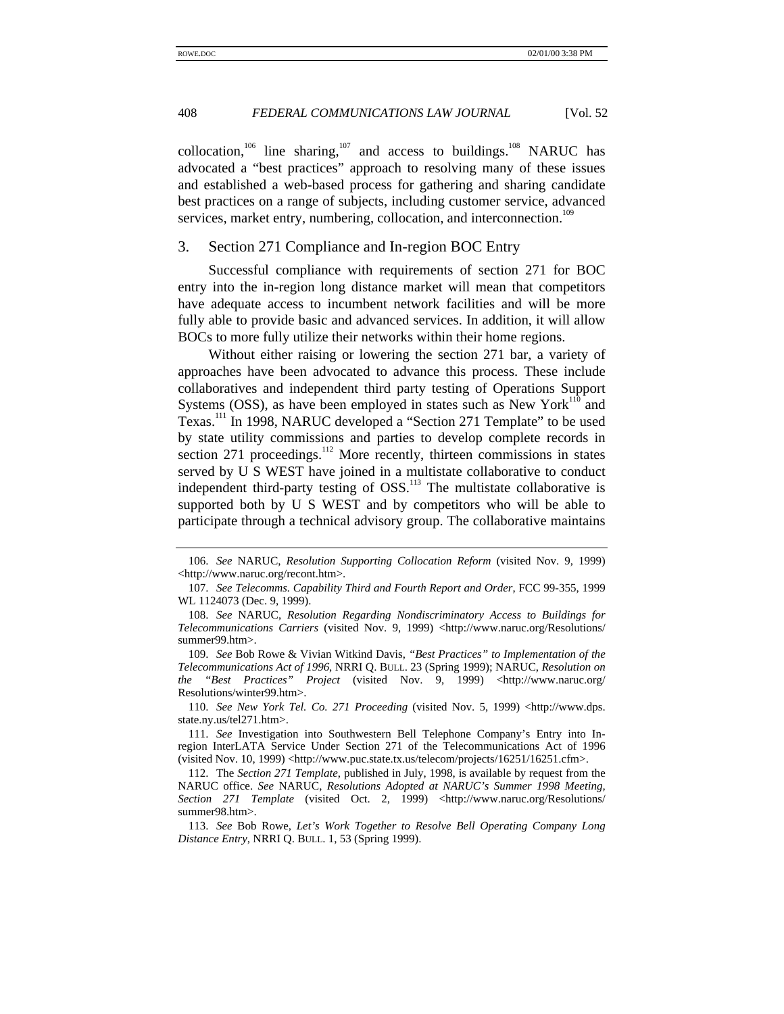collocation,<sup>106</sup> line sharing,<sup>107</sup> and access to buildings.<sup>108</sup> NARUC has advocated a "best practices" approach to resolving many of these issues and established a web-based process for gathering and sharing candidate best practices on a range of subjects, including customer service, advanced services, market entry, numbering, collocation, and interconnection.<sup>109</sup>

#### 3. Section 271 Compliance and In-region BOC Entry

Successful compliance with requirements of section 271 for BOC entry into the in-region long distance market will mean that competitors have adequate access to incumbent network facilities and will be more fully able to provide basic and advanced services. In addition, it will allow BOCs to more fully utilize their networks within their home regions.

Without either raising or lowering the section 271 bar, a variety of approaches have been advocated to advance this process. These include collaboratives and independent third party testing of Operations Support Systems (OSS), as have been employed in states such as New York<sup>110</sup> and Texas.111 In 1998, NARUC developed a "Section 271 Template" to be used by state utility commissions and parties to develop complete records in section 271 proceedings.<sup>112</sup> More recently, thirteen commissions in states served by U S WEST have joined in a multistate collaborative to conduct independent third-party testing of  $OSS$ <sup>113</sup>. The multistate collaborative is supported both by U S WEST and by competitors who will be able to participate through a technical advisory group. The collaborative maintains

<sup>106.</sup> *See* NARUC, *Resolution Supporting Collocation Reform* (visited Nov. 9, 1999) <http://www.naruc.org/recont.htm>.

<sup>107.</sup> *See Telecomms. Capability Third and Fourth Report and Order*, FCC 99-355, 1999 WL 1124073 (Dec. 9, 1999).

<sup>108.</sup> *See* NARUC, *Resolution Regarding Nondiscriminatory Access to Buildings for Telecommunications Carriers* (visited Nov. 9, 1999) <http://www.naruc.org/Resolutions/ summer99.htm>.

<sup>109.</sup> *See* Bob Rowe & Vivian Witkind Davis, *"Best Practices" to Implementation of the Telecommunications Act of 1996*, NRRI Q. BULL. 23 (Spring 1999); NARUC, *Resolution on the "Best Practices" Project* (visited Nov. 9, 1999) <http://www.naruc.org/ Resolutions/winter99.htm>.

<sup>110.</sup> *See New York Tel. Co. 271 Proceeding* (visited Nov. 5, 1999) <http://www.dps. state.ny.us/tel271.htm>.

<sup>111.</sup> *See* Investigation into Southwestern Bell Telephone Company's Entry into Inregion InterLATA Service Under Section 271 of the Telecommunications Act of 1996 (visited Nov. 10, 1999) <http://www.puc.state.tx.us/telecom/projects/16251/16251.cfm>.

<sup>112.</sup> The *Section 271 Template*, published in July, 1998, is available by request from the NARUC office. *See* NARUC, *Resolutions Adopted at NARUC's Summer 1998 Meeting,* Section 271 Template (visited Oct. 2, 1999) <http://www.naruc.org/Resolutions/ summer98.htm>.

<sup>113.</sup> *See* Bob Rowe, *Let's Work Together to Resolve Bell Operating Company Long Distance Entry*, NRRI Q. BULL. 1, 53 (Spring 1999).